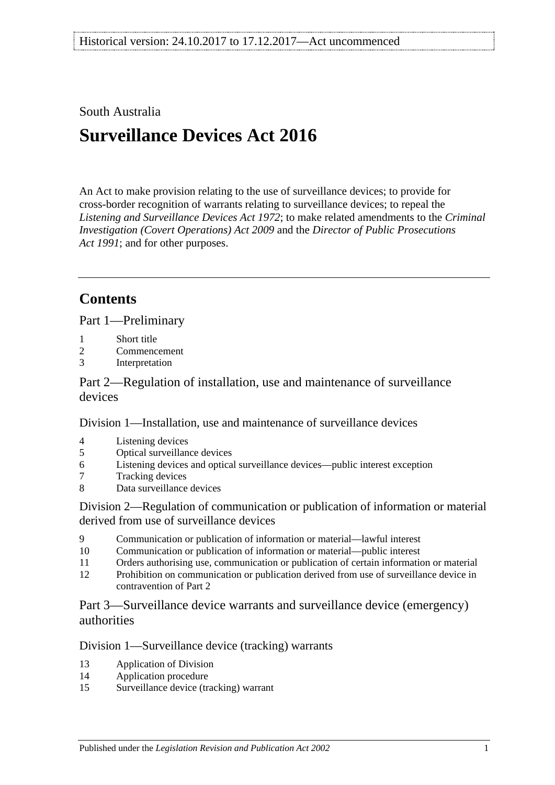### South Australia

# **Surveillance Devices Act 2016**

An Act to make provision relating to the use of surveillance devices; to provide for cross-border recognition of warrants relating to surveillance devices; to repeal the *[Listening and Surveillance Devices Act](http://www.legislation.sa.gov.au/index.aspx?action=legref&type=act&legtitle=Listening%20and%20Surveillance%20Devices%20Act%201972) 1972*; to make related amendments to the *[Criminal](http://www.legislation.sa.gov.au/index.aspx?action=legref&type=act&legtitle=Criminal%20Investigation%20(Covert%20Operations)%20Act%202009)  [Investigation \(Covert Operations\) Act](http://www.legislation.sa.gov.au/index.aspx?action=legref&type=act&legtitle=Criminal%20Investigation%20(Covert%20Operations)%20Act%202009) 2009* and the *[Director of Public Prosecutions](http://www.legislation.sa.gov.au/index.aspx?action=legref&type=act&legtitle=Director%20of%20Public%20Prosecutions%20Act%201991)  Act [1991](http://www.legislation.sa.gov.au/index.aspx?action=legref&type=act&legtitle=Director%20of%20Public%20Prosecutions%20Act%201991)*; and for other purposes.

## **Contents**

Part [1—Preliminary](#page-2-0)

- 1 [Short title](#page-2-1)
- 2 [Commencement](#page-2-2)
- 3 [Interpretation](#page-2-3)

Part [2—Regulation of installation, use and maintenance of surveillance](#page-8-0)  [devices](#page-8-0)

Division [1—Installation, use and maintenance of surveillance devices](#page-8-1)

- 4 [Listening devices](#page-8-2)
- 5 [Optical surveillance devices](#page-10-0)
- 6 [Listening devices and optical surveillance devices—public interest exception](#page-12-0)
- 7 [Tracking devices](#page-12-1)
- 8 [Data surveillance devices](#page-13-0)

Division [2—Regulation of communication or publication of information or material](#page-13-1)  [derived from use of surveillance devices](#page-13-1)

- 9 [Communication or publication of information or material—lawful interest](#page-13-2)
- 10 [Communication or publication of information or material—public interest](#page-14-0)
- 11 [Orders authorising use, communication or publication of certain information or material](#page-15-0)
- 12 [Prohibition on communication or publication derived from use of surveillance device in](#page-15-1)  [contravention of Part](#page-15-1) 2

Part [3—Surveillance device warrants and surveillance device \(emergency\)](#page-16-0)  [authorities](#page-16-0)

### Division [1—Surveillance device \(tracking\) warrants](#page-16-1)

- 13 [Application of Division](#page-16-2)
- 14 [Application procedure](#page-16-3)
- 15 [Surveillance device \(tracking\) warrant](#page-17-0)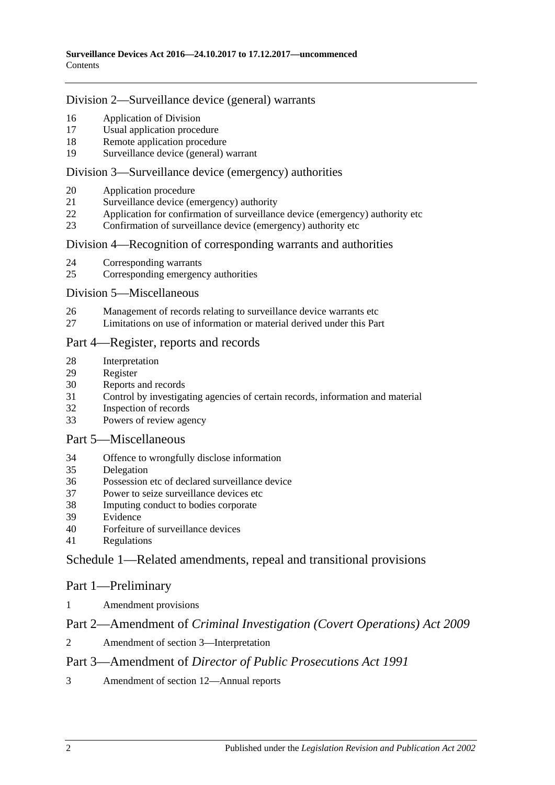### Division [2—Surveillance device \(general\) warrants](#page-18-0)

- [Application of Division](#page-18-1)
- [Usual application procedure](#page-19-0)
- [Remote application procedure](#page-19-1)
- [Surveillance device \(general\) warrant](#page-21-0)

#### Division [3—Surveillance device \(emergency\) authorities](#page-23-0)

- [Application procedure](#page-23-1)
- [Surveillance device \(emergency\) authority](#page-24-0)
- [Application for confirmation of surveillance device \(emergency\) authority etc](#page-26-0)
- [Confirmation of surveillance device \(emergency\) authority etc](#page-27-0)

#### Division 4—Recognition [of corresponding warrants and authorities](#page-28-0)

- [Corresponding warrants](#page-28-1)<br>25 Corresponding emergency
- [Corresponding emergency authorities](#page-28-2)

#### Division [5—Miscellaneous](#page-28-3)

- [Management of records relating to surveillance device warrants etc](#page-28-4)
- [Limitations on use of information or material derived under this Part](#page-28-5)

### Part [4—Register, reports and records](#page-29-0)

- [Interpretation](#page-29-1)
- [Register](#page-29-2)
- [Reports and records](#page-31-0)
- [Control by investigating agencies of certain records, information and material](#page-34-0)
- [Inspection of records](#page-35-0)
- [Powers of review agency](#page-35-1)

#### Part [5—Miscellaneous](#page-36-0)

- [Offence to wrongfully disclose information](#page-36-1)
- [Delegation](#page-37-0)
- [Possession etc of declared surveillance device](#page-37-1)
- [Power to seize surveillance devices etc](#page-38-0)
- [Imputing conduct to bodies corporate](#page-39-0)
- [Evidence](#page-39-1)
- [Forfeiture of surveillance devices](#page-39-2)
- [Regulations](#page-39-3)

### Schedule [1—Related amendments, repeal and transitional provisions](#page-40-0)

### Part 1—Preliminary

[Amendment provisions](#page-40-1)

### Part 2—Amendment of *Criminal Investigation (Covert Operations) Act 2009*

[Amendment of section](#page-40-2) 3—Interpretation

### Part 3—Amendment of *Director of Public Prosecutions Act 1991*

[Amendment of section](#page-40-3) 12—Annual reports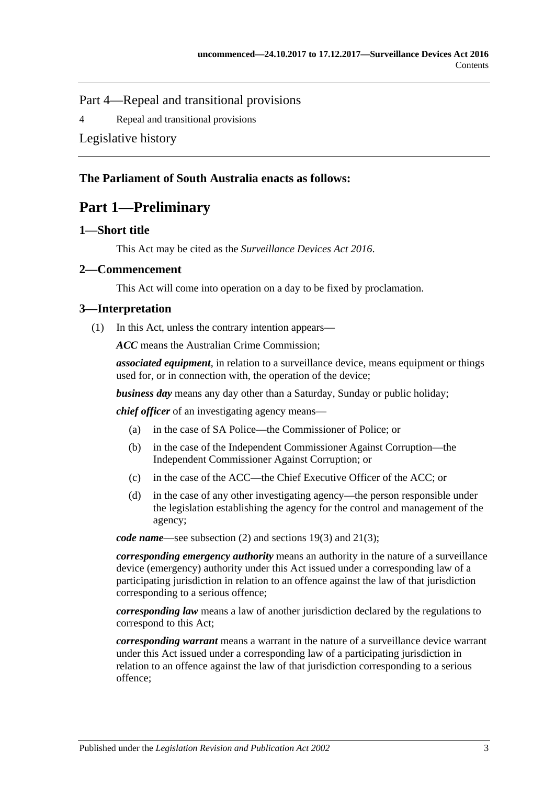Part 4—Repeal and transitional provisions

4 [Repeal and transitional provisions](#page-40-4)

[Legislative history](#page-42-0)

### <span id="page-2-0"></span>**The Parliament of South Australia enacts as follows:**

## **Part 1—Preliminary**

### <span id="page-2-1"></span>**1—Short title**

This Act may be cited as the *Surveillance Devices Act 2016*.

### <span id="page-2-2"></span>**2—Commencement**

This Act will come into operation on a day to be fixed by proclamation.

### <span id="page-2-3"></span>**3—Interpretation**

(1) In this Act, unless the contrary intention appears—

*ACC* means the Australian Crime Commission;

*associated equipment*, in relation to a surveillance device, means equipment or things used for, or in connection with, the operation of the device;

*business day* means any day other than a Saturday, Sunday or public holiday;

*chief officer* of an investigating agency means—

- (a) in the case of SA Police—the Commissioner of Police; or
- (b) in the case of the Independent Commissioner Against Corruption—the Independent Commissioner Against Corruption; or
- (c) in the case of the ACC—the Chief Executive Officer of the ACC; or
- (d) in the case of any other investigating agency—the person responsible under the legislation establishing the agency for the control and management of the agency;

*code name*—see [subsection](#page-8-3) (2) and [sections](#page-22-0) 19(3) and [21\(3\);](#page-25-0)

*corresponding emergency authority* means an authority in the nature of a surveillance device (emergency) authority under this Act issued under a corresponding law of a participating jurisdiction in relation to an offence against the law of that jurisdiction corresponding to a serious offence;

*corresponding law* means a law of another jurisdiction declared by the regulations to correspond to this Act;

*corresponding warrant* means a warrant in the nature of a surveillance device warrant under this Act issued under a corresponding law of a participating jurisdiction in relation to an offence against the law of that jurisdiction corresponding to a serious offence;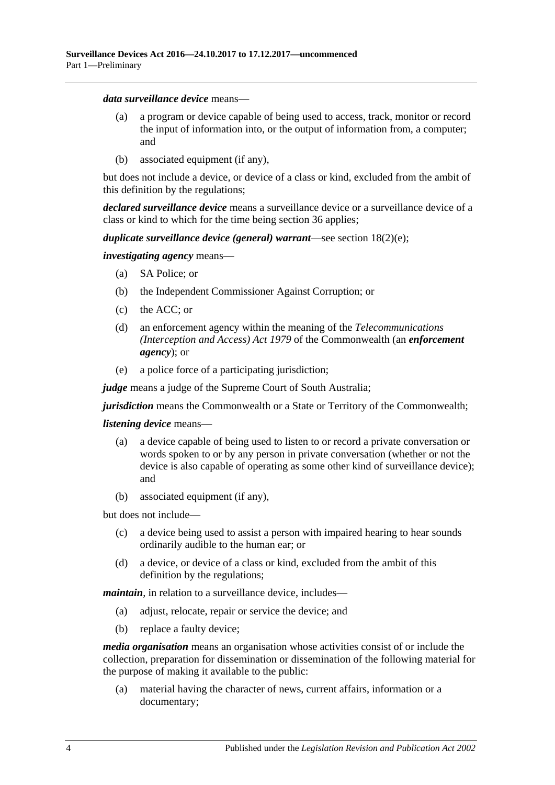#### *data surveillance device* means—

- (a) a program or device capable of being used to access, track, monitor or record the input of information into, or the output of information from, a computer; and
- (b) associated equipment (if any),

but does not include a device, or device of a class or kind, excluded from the ambit of this definition by the regulations;

*declared surveillance device* means a surveillance device or a surveillance device of a class or kind to which for the time being [section](#page-37-1) 36 applies;

#### *duplicate surveillance device (general) warrant*—see section [18\(2\)\(e\);](#page-20-0)

*investigating agency* means—

- (a) SA Police; or
- (b) the Independent Commissioner Against Corruption; or
- (c) the ACC; or
- (d) an enforcement agency within the meaning of the *Telecommunications (Interception and Access) Act 1979* of the Commonwealth (an *enforcement agency*); or
- (e) a police force of a participating jurisdiction;

*judge* means a judge of the Supreme Court of South Australia;

*jurisdiction* means the Commonwealth or a State or Territory of the Commonwealth;

#### *listening device* means—

- (a) a device capable of being used to listen to or record a private conversation or words spoken to or by any person in private conversation (whether or not the device is also capable of operating as some other kind of surveillance device); and
- (b) associated equipment (if any),

but does not include—

- (c) a device being used to assist a person with impaired hearing to hear sounds ordinarily audible to the human ear; or
- (d) a device, or device of a class or kind, excluded from the ambit of this definition by the regulations;

*maintain*, in relation to a surveillance device, includes—

- (a) adjust, relocate, repair or service the device; and
- (b) replace a faulty device;

*media organisation* means an organisation whose activities consist of or include the collection, preparation for dissemination or dissemination of the following material for the purpose of making it available to the public:

(a) material having the character of news, current affairs, information or a documentary;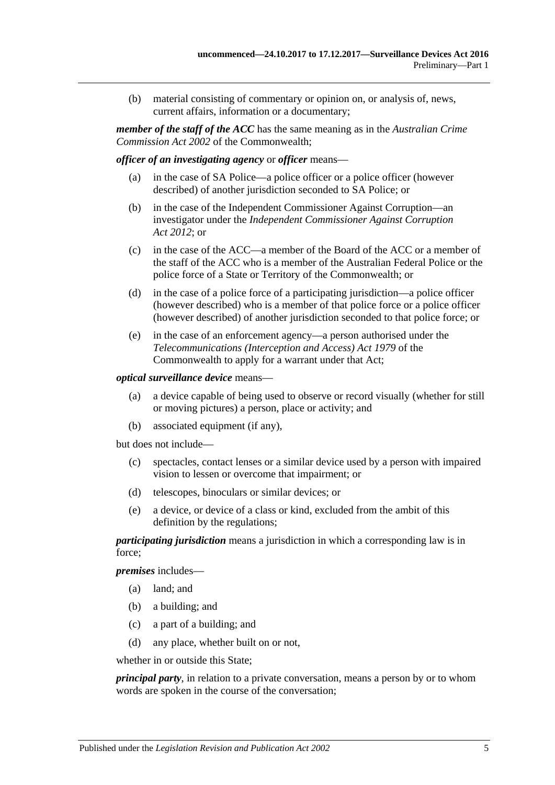(b) material consisting of commentary or opinion on, or analysis of, news, current affairs, information or a documentary;

*member of the staff of the ACC* has the same meaning as in the *Australian Crime Commission Act 2002* of the Commonwealth;

*officer of an investigating agency* or *officer* means—

- (a) in the case of SA Police—a police officer or a police officer (however described) of another jurisdiction seconded to SA Police; or
- (b) in the case of the Independent Commissioner Against Corruption—an investigator under the *[Independent Commissioner Against Corruption](http://www.legislation.sa.gov.au/index.aspx?action=legref&type=act&legtitle=Independent%20Commissioner%20Against%20Corruption%20Act%202012)  Act [2012](http://www.legislation.sa.gov.au/index.aspx?action=legref&type=act&legtitle=Independent%20Commissioner%20Against%20Corruption%20Act%202012)*; or
- (c) in the case of the ACC—a member of the Board of the ACC or a member of the staff of the ACC who is a member of the Australian Federal Police or the police force of a State or Territory of the Commonwealth; or
- (d) in the case of a police force of a participating jurisdiction—a police officer (however described) who is a member of that police force or a police officer (however described) of another jurisdiction seconded to that police force; or
- (e) in the case of an enforcement agency—a person authorised under the *Telecommunications (Interception and Access) Act 1979* of the Commonwealth to apply for a warrant under that Act;

#### *optical surveillance device* means—

- (a) a device capable of being used to observe or record visually (whether for still or moving pictures) a person, place or activity; and
- (b) associated equipment (if any),

but does not include—

- (c) spectacles, contact lenses or a similar device used by a person with impaired vision to lessen or overcome that impairment; or
- (d) telescopes, binoculars or similar devices; or
- (e) a device, or device of a class or kind, excluded from the ambit of this definition by the regulations;

*participating jurisdiction* means a jurisdiction in which a corresponding law is in force;

*premises* includes—

- (a) land; and
- (b) a building; and
- (c) a part of a building; and
- (d) any place, whether built on or not,

whether in or outside this State;

*principal party*, in relation to a private conversation, means a person by or to whom words are spoken in the course of the conversation;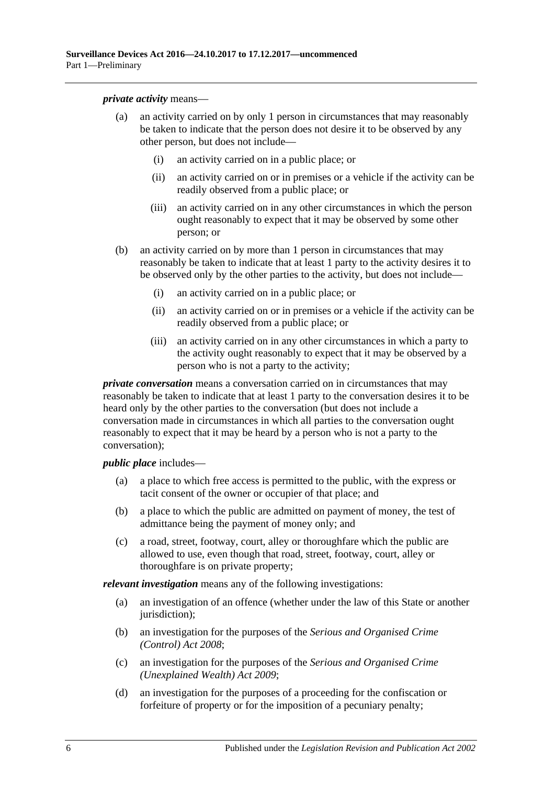*private activity* means—

- (a) an activity carried on by only 1 person in circumstances that may reasonably be taken to indicate that the person does not desire it to be observed by any other person, but does not include—
	- (i) an activity carried on in a public place; or
	- (ii) an activity carried on or in premises or a vehicle if the activity can be readily observed from a public place; or
	- (iii) an activity carried on in any other circumstances in which the person ought reasonably to expect that it may be observed by some other person; or
- (b) an activity carried on by more than 1 person in circumstances that may reasonably be taken to indicate that at least 1 party to the activity desires it to be observed only by the other parties to the activity, but does not include—
	- (i) an activity carried on in a public place; or
	- (ii) an activity carried on or in premises or a vehicle if the activity can be readily observed from a public place; or
	- (iii) an activity carried on in any other circumstances in which a party to the activity ought reasonably to expect that it may be observed by a person who is not a party to the activity;

*private conversation* means a conversation carried on in circumstances that may reasonably be taken to indicate that at least 1 party to the conversation desires it to be heard only by the other parties to the conversation (but does not include a conversation made in circumstances in which all parties to the conversation ought reasonably to expect that it may be heard by a person who is not a party to the conversation);

*public place* includes—

- (a) a place to which free access is permitted to the public, with the express or tacit consent of the owner or occupier of that place; and
- (b) a place to which the public are admitted on payment of money, the test of admittance being the payment of money only; and
- (c) a road, street, footway, court, alley or thoroughfare which the public are allowed to use, even though that road, street, footway, court, alley or thoroughfare is on private property;

*relevant investigation* means any of the following investigations:

- (a) an investigation of an offence (whether under the law of this State or another jurisdiction);
- (b) an investigation for the purposes of the *[Serious and Organised Crime](http://www.legislation.sa.gov.au/index.aspx?action=legref&type=act&legtitle=Serious%20and%20Organised%20Crime%20(Control)%20Act%202008)  [\(Control\) Act](http://www.legislation.sa.gov.au/index.aspx?action=legref&type=act&legtitle=Serious%20and%20Organised%20Crime%20(Control)%20Act%202008) 2008*;
- (c) an investigation for the purposes of the *[Serious and Organised Crime](http://www.legislation.sa.gov.au/index.aspx?action=legref&type=act&legtitle=Serious%20and%20Organised%20Crime%20(Unexplained%20Wealth)%20Act%202009)  [\(Unexplained Wealth\) Act](http://www.legislation.sa.gov.au/index.aspx?action=legref&type=act&legtitle=Serious%20and%20Organised%20Crime%20(Unexplained%20Wealth)%20Act%202009) 2009*;
- (d) an investigation for the purposes of a proceeding for the confiscation or forfeiture of property or for the imposition of a pecuniary penalty;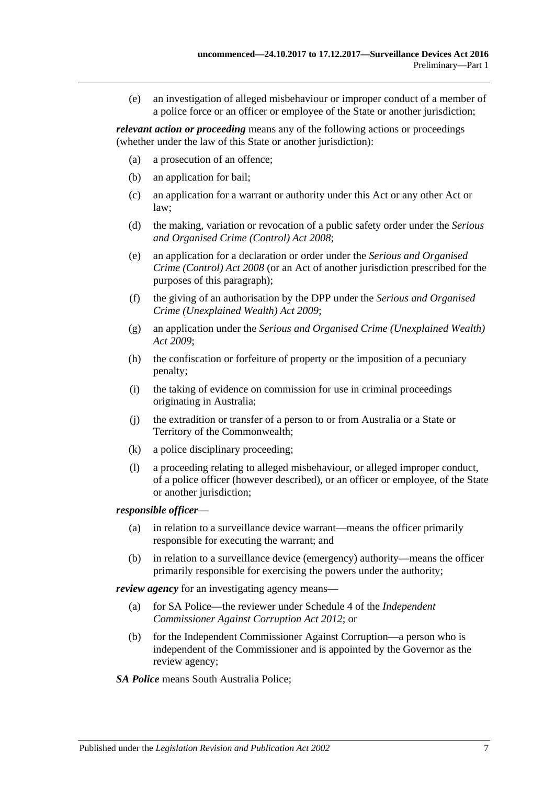(e) an investigation of alleged misbehaviour or improper conduct of a member of a police force or an officer or employee of the State or another jurisdiction;

*relevant action or proceeding* means any of the following actions or proceedings (whether under the law of this State or another jurisdiction):

- (a) a prosecution of an offence;
- (b) an application for bail;
- (c) an application for a warrant or authority under this Act or any other Act or law;
- (d) the making, variation or revocation of a public safety order under the *[Serious](http://www.legislation.sa.gov.au/index.aspx?action=legref&type=act&legtitle=Serious%20and%20Organised%20Crime%20(Control)%20Act%202008)  [and Organised Crime \(Control\) Act](http://www.legislation.sa.gov.au/index.aspx?action=legref&type=act&legtitle=Serious%20and%20Organised%20Crime%20(Control)%20Act%202008) 2008*;
- (e) an application for a declaration or order under the *[Serious and Organised](http://www.legislation.sa.gov.au/index.aspx?action=legref&type=act&legtitle=Serious%20and%20Organised%20Crime%20(Control)%20Act%202008)  [Crime \(Control\) Act](http://www.legislation.sa.gov.au/index.aspx?action=legref&type=act&legtitle=Serious%20and%20Organised%20Crime%20(Control)%20Act%202008) 2008* (or an Act of another jurisdiction prescribed for the purposes of this paragraph);
- (f) the giving of an authorisation by the DPP under the *[Serious and Organised](http://www.legislation.sa.gov.au/index.aspx?action=legref&type=act&legtitle=Serious%20and%20Organised%20Crime%20(Unexplained%20Wealth)%20Act%202009)  [Crime \(Unexplained Wealth\) Act](http://www.legislation.sa.gov.au/index.aspx?action=legref&type=act&legtitle=Serious%20and%20Organised%20Crime%20(Unexplained%20Wealth)%20Act%202009) 2009*;
- (g) an application under the *[Serious and Organised Crime \(Unexplained Wealth\)](http://www.legislation.sa.gov.au/index.aspx?action=legref&type=act&legtitle=Serious%20and%20Organised%20Crime%20(Unexplained%20Wealth)%20Act%202009)  Act [2009](http://www.legislation.sa.gov.au/index.aspx?action=legref&type=act&legtitle=Serious%20and%20Organised%20Crime%20(Unexplained%20Wealth)%20Act%202009)*;
- (h) the confiscation or forfeiture of property or the imposition of a pecuniary penalty;
- (i) the taking of evidence on commission for use in criminal proceedings originating in Australia;
- (j) the extradition or transfer of a person to or from Australia or a State or Territory of the Commonwealth;
- (k) a police disciplinary proceeding;
- (l) a proceeding relating to alleged misbehaviour, or alleged improper conduct, of a police officer (however described), or an officer or employee, of the State or another jurisdiction;

#### *responsible officer*—

- (a) in relation to a surveillance device warrant—means the officer primarily responsible for executing the warrant; and
- (b) in relation to a surveillance device (emergency) authority—means the officer primarily responsible for exercising the powers under the authority;

*review agency* for an investigating agency means—

- (a) for SA Police—the reviewer under Schedule 4 of the *[Independent](http://www.legislation.sa.gov.au/index.aspx?action=legref&type=act&legtitle=Independent%20Commissioner%20Against%20Corruption%20Act%202012)  [Commissioner Against Corruption Act](http://www.legislation.sa.gov.au/index.aspx?action=legref&type=act&legtitle=Independent%20Commissioner%20Against%20Corruption%20Act%202012) 2012*; or
- (b) for the Independent Commissioner Against Corruption—a person who is independent of the Commissioner and is appointed by the Governor as the review agency;
- *SA Police* means South Australia Police;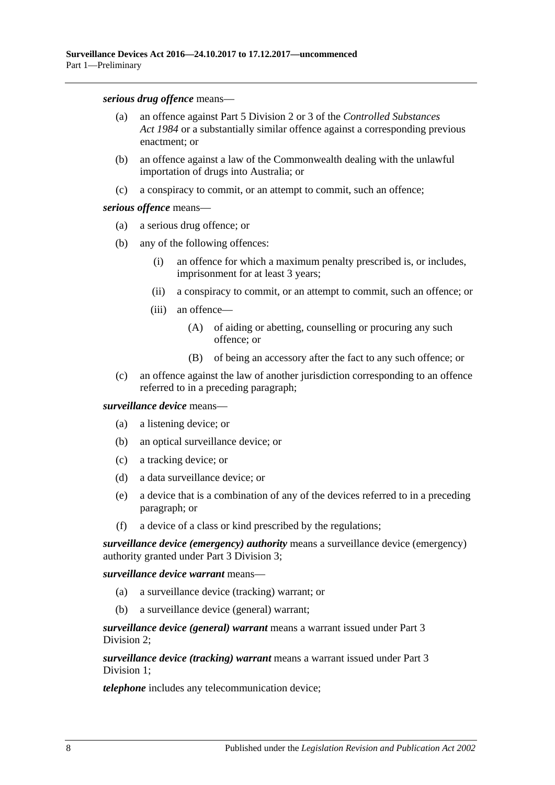*serious drug offence* means—

- (a) an offence against Part 5 Division 2 or 3 of the *[Controlled Substances](http://www.legislation.sa.gov.au/index.aspx?action=legref&type=act&legtitle=Controlled%20Substances%20Act%201984)  Act [1984](http://www.legislation.sa.gov.au/index.aspx?action=legref&type=act&legtitle=Controlled%20Substances%20Act%201984)* or a substantially similar offence against a corresponding previous enactment; or
- (b) an offence against a law of the Commonwealth dealing with the unlawful importation of drugs into Australia; or
- (c) a conspiracy to commit, or an attempt to commit, such an offence;

#### *serious offence* means—

- (a) a serious drug offence; or
- (b) any of the following offences:
	- (i) an offence for which a maximum penalty prescribed is, or includes, imprisonment for at least 3 years;
	- (ii) a conspiracy to commit, or an attempt to commit, such an offence; or
	- (iii) an offence—
		- (A) of aiding or abetting, counselling or procuring any such offence; or
		- (B) of being an accessory after the fact to any such offence; or
- (c) an offence against the law of another jurisdiction corresponding to an offence referred to in a preceding paragraph;

#### *surveillance device* means—

- (a) a listening device; or
- (b) an optical surveillance device; or
- (c) a tracking device; or
- (d) a data surveillance device; or
- (e) a device that is a combination of any of the devices referred to in a preceding paragraph; or
- (f) a device of a class or kind prescribed by the regulations;

*surveillance device (emergency) authority* means a surveillance device (emergency) authority granted under Part [3 Division](#page-23-0) 3;

*surveillance device warrant* means—

- (a) a surveillance device (tracking) warrant; or
- (b) a surveillance device (general) warrant;

*surveillance device (general) warrant* means a warrant issued under [Part](#page-18-0) 3 [Division](#page-18-0) 2;

*surveillance device (tracking) warrant* means a warrant issued under [Part](#page-16-1) 3 [Division](#page-16-1) 1:

*telephone* includes any telecommunication device;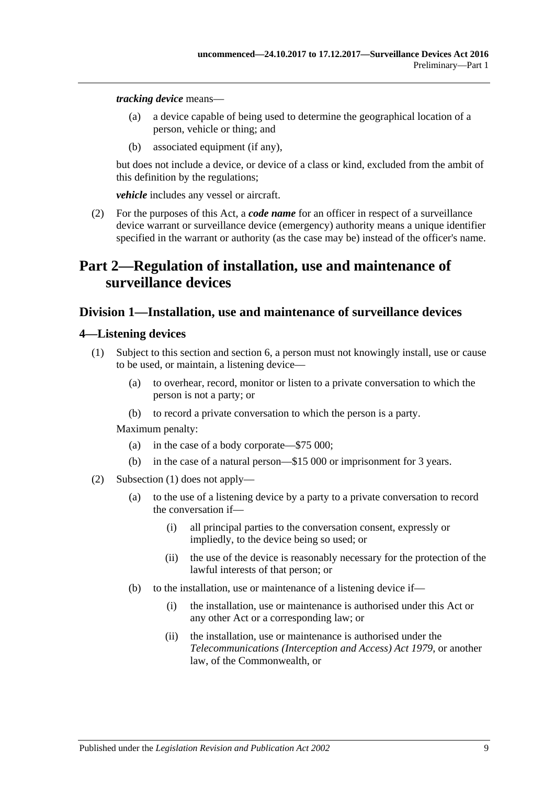*tracking device* means—

- (a) a device capable of being used to determine the geographical location of a person, vehicle or thing; and
- (b) associated equipment (if any),

but does not include a device, or device of a class or kind, excluded from the ambit of this definition by the regulations;

*vehicle* includes any vessel or aircraft.

<span id="page-8-3"></span>(2) For the purposes of this Act, a *code name* for an officer in respect of a surveillance device warrant or surveillance device (emergency) authority means a unique identifier specified in the warrant or authority (as the case may be) instead of the officer's name.

## <span id="page-8-0"></span>**Part 2—Regulation of installation, use and maintenance of surveillance devices**

### <span id="page-8-1"></span>**Division 1—Installation, use and maintenance of surveillance devices**

#### <span id="page-8-4"></span><span id="page-8-2"></span>**4—Listening devices**

- (1) Subject to this section and [section](#page-12-0) 6, a person must not knowingly install, use or cause to be used, or maintain, a listening device—
	- (a) to overhear, record, monitor or listen to a private conversation to which the person is not a party; or
	- (b) to record a private conversation to which the person is a party.

- (a) in the case of a body corporate—\$75 000;
- (b) in the case of a natural person—\$15 000 or imprisonment for 3 years.
- <span id="page-8-5"></span>(2) [Subsection](#page-8-4) (1) does not apply—
	- (a) to the use of a listening device by a party to a private conversation to record the conversation if—
		- (i) all principal parties to the conversation consent, expressly or impliedly, to the device being so used; or
		- (ii) the use of the device is reasonably necessary for the protection of the lawful interests of that person; or
	- (b) to the installation, use or maintenance of a listening device if—
		- (i) the installation, use or maintenance is authorised under this Act or any other Act or a corresponding law; or
		- (ii) the installation, use or maintenance is authorised under the *Telecommunications (Interception and Access) Act 1979*, or another law, of the Commonwealth, or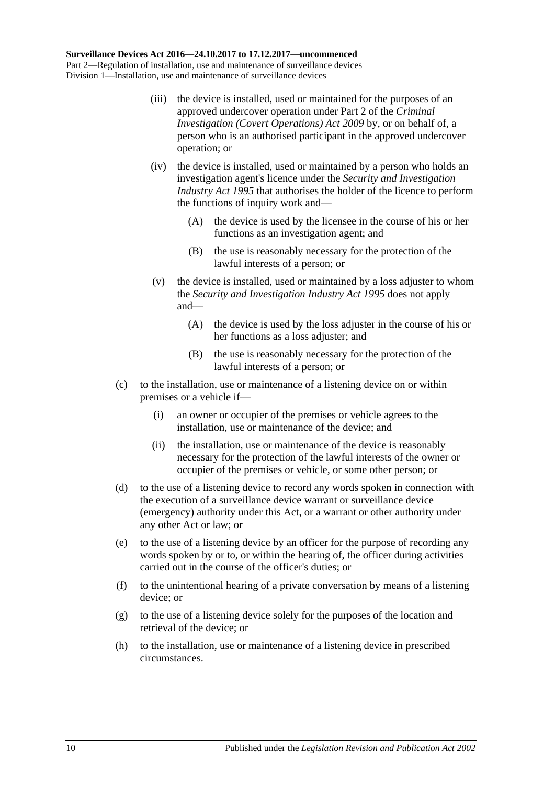- <span id="page-9-2"></span>(iii) the device is installed, used or maintained for the purposes of an approved undercover operation under Part 2 of the *[Criminal](http://www.legislation.sa.gov.au/index.aspx?action=legref&type=act&legtitle=Criminal%20Investigation%20(Covert%20Operations)%20Act%202009)  [Investigation \(Covert Operations\) Act](http://www.legislation.sa.gov.au/index.aspx?action=legref&type=act&legtitle=Criminal%20Investigation%20(Covert%20Operations)%20Act%202009) 2009* by, or on behalf of, a person who is an authorised participant in the approved undercover operation; or
- <span id="page-9-0"></span>(iv) the device is installed, used or maintained by a person who holds an investigation agent's licence under the *[Security and Investigation](http://www.legislation.sa.gov.au/index.aspx?action=legref&type=act&legtitle=Security%20and%20Investigation%20Industry%20Act%201995)  [Industry Act](http://www.legislation.sa.gov.au/index.aspx?action=legref&type=act&legtitle=Security%20and%20Investigation%20Industry%20Act%201995) 1995* that authorises the holder of the licence to perform the functions of inquiry work and—
	- (A) the device is used by the licensee in the course of his or her functions as an investigation agent; and
	- (B) the use is reasonably necessary for the protection of the lawful interests of a person; or
- <span id="page-9-1"></span>(v) the device is installed, used or maintained by a loss adjuster to whom the *[Security and Investigation Industry Act](http://www.legislation.sa.gov.au/index.aspx?action=legref&type=act&legtitle=Security%20and%20Investigation%20Industry%20Act%201995) 1995* does not apply and—
	- (A) the device is used by the loss adjuster in the course of his or her functions as a loss adjuster; and
	- (B) the use is reasonably necessary for the protection of the lawful interests of a person; or
- (c) to the installation, use or maintenance of a listening device on or within premises or a vehicle if—
	- (i) an owner or occupier of the premises or vehicle agrees to the installation, use or maintenance of the device; and
	- (ii) the installation, use or maintenance of the device is reasonably necessary for the protection of the lawful interests of the owner or occupier of the premises or vehicle, or some other person; or
- (d) to the use of a listening device to record any words spoken in connection with the execution of a surveillance device warrant or surveillance device (emergency) authority under this Act, or a warrant or other authority under any other Act or law; or
- (e) to the use of a listening device by an officer for the purpose of recording any words spoken by or to, or within the hearing of, the officer during activities carried out in the course of the officer's duties; or
- (f) to the unintentional hearing of a private conversation by means of a listening device; or
- (g) to the use of a listening device solely for the purposes of the location and retrieval of the device; or
- (h) to the installation, use or maintenance of a listening device in prescribed circumstances.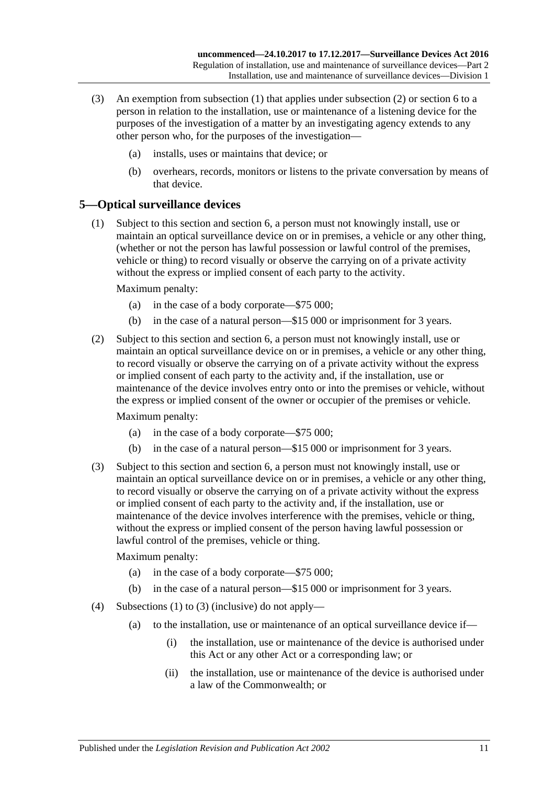- (3) An exemption from [subsection](#page-8-4) (1) that applies under [subsection](#page-8-5) (2) or [section](#page-12-0) 6 to a person in relation to the installation, use or maintenance of a listening device for the purposes of the investigation of a matter by an investigating agency extends to any other person who, for the purposes of the investigation—
	- (a) installs, uses or maintains that device; or
	- (b) overhears, records, monitors or listens to the private conversation by means of that device.

### <span id="page-10-1"></span><span id="page-10-0"></span>**5—Optical surveillance devices**

(1) Subject to this section and [section](#page-12-0) 6, a person must not knowingly install, use or maintain an optical surveillance device on or in premises, a vehicle or any other thing, (whether or not the person has lawful possession or lawful control of the premises, vehicle or thing) to record visually or observe the carrying on of a private activity without the express or implied consent of each party to the activity.

Maximum penalty:

- (a) in the case of a body corporate—\$75 000;
- (b) in the case of a natural person—\$15 000 or imprisonment for 3 years.
- (2) Subject to this section and [section](#page-12-0) 6, a person must not knowingly install, use or maintain an optical surveillance device on or in premises, a vehicle or any other thing, to record visually or observe the carrying on of a private activity without the express or implied consent of each party to the activity and, if the installation, use or maintenance of the device involves entry onto or into the premises or vehicle, without the express or implied consent of the owner or occupier of the premises or vehicle.

Maximum penalty:

- (a) in the case of a body corporate—\$75 000;
- (b) in the case of a natural person—\$15 000 or imprisonment for 3 years.
- <span id="page-10-2"></span>(3) Subject to this section and [section](#page-12-0) 6, a person must not knowingly install, use or maintain an optical surveillance device on or in premises, a vehicle or any other thing, to record visually or observe the carrying on of a private activity without the express or implied consent of each party to the activity and, if the installation, use or maintenance of the device involves interference with the premises, vehicle or thing, without the express or implied consent of the person having lawful possession or lawful control of the premises, vehicle or thing.

- (a) in the case of a body corporate—\$75 000;
- (b) in the case of a natural person—\$15 000 or imprisonment for 3 years.
- <span id="page-10-3"></span>(4) [Subsections \(1\)](#page-10-1) to [\(3\)](#page-10-2) (inclusive) do not apply—
	- (a) to the installation, use or maintenance of an optical surveillance device if—
		- (i) the installation, use or maintenance of the device is authorised under this Act or any other Act or a corresponding law; or
		- (ii) the installation, use or maintenance of the device is authorised under a law of the Commonwealth; or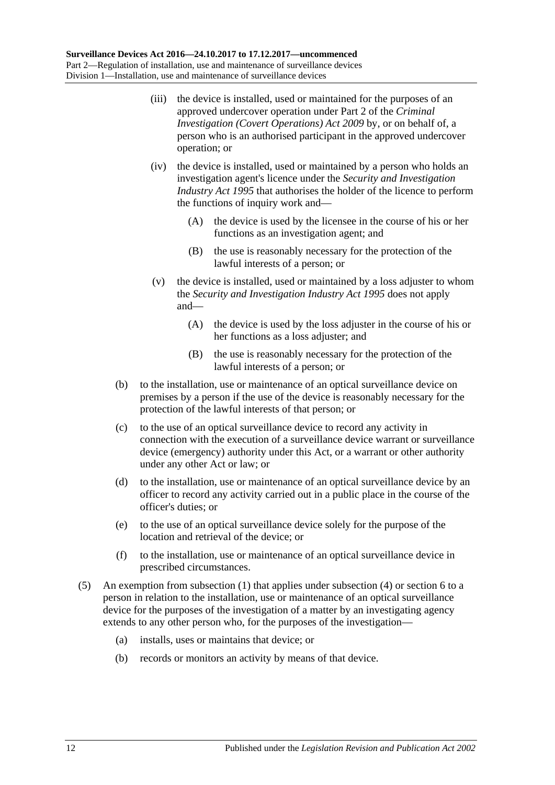- (iii) the device is installed, used or maintained for the purposes of an approved undercover operation under Part 2 of the *[Criminal](http://www.legislation.sa.gov.au/index.aspx?action=legref&type=act&legtitle=Criminal%20Investigation%20(Covert%20Operations)%20Act%202009)  [Investigation \(Covert Operations\) Act](http://www.legislation.sa.gov.au/index.aspx?action=legref&type=act&legtitle=Criminal%20Investigation%20(Covert%20Operations)%20Act%202009) 2009* by, or on behalf of, a person who is an authorised participant in the approved undercover operation; or
- <span id="page-11-0"></span>(iv) the device is installed, used or maintained by a person who holds an investigation agent's licence under the *[Security and Investigation](http://www.legislation.sa.gov.au/index.aspx?action=legref&type=act&legtitle=Security%20and%20Investigation%20Industry%20Act%201995)  [Industry Act](http://www.legislation.sa.gov.au/index.aspx?action=legref&type=act&legtitle=Security%20and%20Investigation%20Industry%20Act%201995) 1995* that authorises the holder of the licence to perform the functions of inquiry work and—
	- (A) the device is used by the licensee in the course of his or her functions as an investigation agent; and
	- (B) the use is reasonably necessary for the protection of the lawful interests of a person; or
- <span id="page-11-1"></span>(v) the device is installed, used or maintained by a loss adjuster to whom the *[Security and Investigation Industry Act](http://www.legislation.sa.gov.au/index.aspx?action=legref&type=act&legtitle=Security%20and%20Investigation%20Industry%20Act%201995) 1995* does not apply and—
	- (A) the device is used by the loss adjuster in the course of his or her functions as a loss adjuster; and
	- (B) the use is reasonably necessary for the protection of the lawful interests of a person; or
- <span id="page-11-2"></span>(b) to the installation, use or maintenance of an optical surveillance device on premises by a person if the use of the device is reasonably necessary for the protection of the lawful interests of that person; or
- (c) to the use of an optical surveillance device to record any activity in connection with the execution of a surveillance device warrant or surveillance device (emergency) authority under this Act, or a warrant or other authority under any other Act or law; or
- (d) to the installation, use or maintenance of an optical surveillance device by an officer to record any activity carried out in a public place in the course of the officer's duties; or
- (e) to the use of an optical surveillance device solely for the purpose of the location and retrieval of the device; or
- (f) to the installation, use or maintenance of an optical surveillance device in prescribed circumstances.
- (5) An exemption from [subsection](#page-10-1) (1) that applies under [subsection](#page-10-3) (4) or [section](#page-12-0) 6 to a person in relation to the installation, use or maintenance of an optical surveillance device for the purposes of the investigation of a matter by an investigating agency extends to any other person who, for the purposes of the investigation—
	- (a) installs, uses or maintains that device; or
	- (b) records or monitors an activity by means of that device.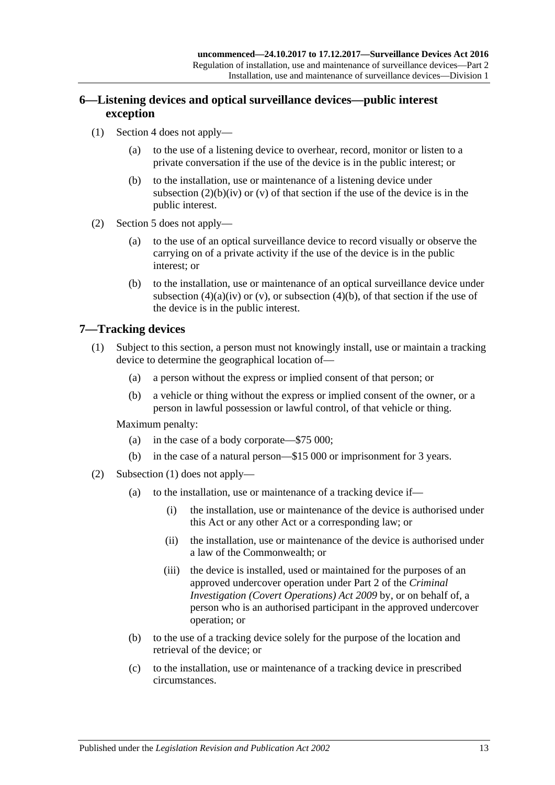### <span id="page-12-0"></span>**6—Listening devices and optical surveillance devices—public interest exception**

- (1) [Section 4](#page-8-2) does not apply—
	- (a) to the use of a listening device to overhear, record, monitor or listen to a private conversation if the use of the device is in the public interest; or
	- (b) to the installation, use or maintenance of a listening device under [subsection](#page-9-0)  $(2)(b)(iv)$  or  $(v)$  of that section if the use of the device is in the public interest.
- (2) [Section 5](#page-10-0) does not apply—
	- (a) to the use of an optical surveillance device to record visually or observe the carrying on of a private activity if the use of the device is in the public interest; or
	- (b) to the installation, use or maintenance of an optical surveillance device under [subsection](#page-11-0) (4)(a)(iv) or [\(v\),](#page-11-1) or [subsection](#page-11-2) (4)(b), of that section if the use of the device is in the public interest.

### <span id="page-12-2"></span><span id="page-12-1"></span>**7—Tracking devices**

- (1) Subject to this section, a person must not knowingly install, use or maintain a tracking device to determine the geographical location of—
	- (a) a person without the express or implied consent of that person; or
	- (b) a vehicle or thing without the express or implied consent of the owner, or a person in lawful possession or lawful control, of that vehicle or thing.

- (a) in the case of a body corporate—\$75 000;
- (b) in the case of a natural person—\$15 000 or imprisonment for 3 years.
- (2) [Subsection \(1\)](#page-12-2) does not apply—
	- (a) to the installation, use or maintenance of a tracking device if—
		- (i) the installation, use or maintenance of the device is authorised under this Act or any other Act or a corresponding law; or
		- (ii) the installation, use or maintenance of the device is authorised under a law of the Commonwealth; or
		- (iii) the device is installed, used or maintained for the purposes of an approved undercover operation under Part 2 of the *[Criminal](http://www.legislation.sa.gov.au/index.aspx?action=legref&type=act&legtitle=Criminal%20Investigation%20(Covert%20Operations)%20Act%202009)  [Investigation \(Covert Operations\) Act](http://www.legislation.sa.gov.au/index.aspx?action=legref&type=act&legtitle=Criminal%20Investigation%20(Covert%20Operations)%20Act%202009) 2009* by, or on behalf of, a person who is an authorised participant in the approved undercover operation; or
	- (b) to the use of a tracking device solely for the purpose of the location and retrieval of the device; or
	- (c) to the installation, use or maintenance of a tracking device in prescribed circumstances.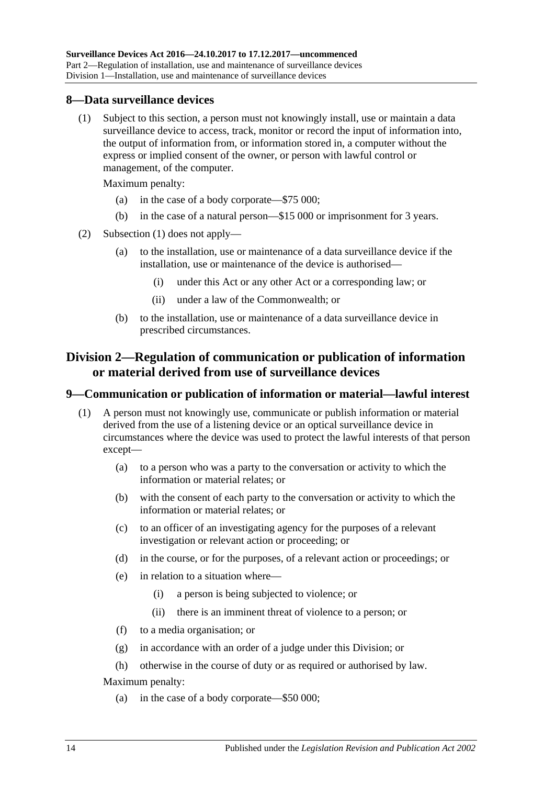### <span id="page-13-3"></span><span id="page-13-0"></span>**8—Data surveillance devices**

(1) Subject to this section, a person must not knowingly install, use or maintain a data surveillance device to access, track, monitor or record the input of information into, the output of information from, or information stored in, a computer without the express or implied consent of the owner, or person with lawful control or management, of the computer.

Maximum penalty:

- (a) in the case of a body corporate—\$75 000;
- (b) in the case of a natural person—\$15 000 or imprisonment for 3 years.
- (2) [Subsection \(1\)](#page-13-3) does not apply—
	- (a) to the installation, use or maintenance of a data surveillance device if the installation, use or maintenance of the device is authorised—
		- (i) under this Act or any other Act or a corresponding law; or
		- (ii) under a law of the Commonwealth; or
	- (b) to the installation, use or maintenance of a data surveillance device in prescribed circumstances.

### <span id="page-13-1"></span>**Division 2—Regulation of communication or publication of information or material derived from use of surveillance devices**

#### <span id="page-13-2"></span>**9—Communication or publication of information or material—lawful interest**

- (1) A person must not knowingly use, communicate or publish information or material derived from the use of a listening device or an optical surveillance device in circumstances where the device was used to protect the lawful interests of that person except—
	- (a) to a person who was a party to the conversation or activity to which the information or material relates; or
	- (b) with the consent of each party to the conversation or activity to which the information or material relates; or
	- (c) to an officer of an investigating agency for the purposes of a relevant investigation or relevant action or proceeding; or
	- (d) in the course, or for the purposes, of a relevant action or proceedings; or
	- (e) in relation to a situation where—
		- (i) a person is being subjected to violence; or
		- (ii) there is an imminent threat of violence to a person; or
	- (f) to a media organisation; or
	- (g) in accordance with an order of a judge under this Division; or
	- (h) otherwise in the course of duty or as required or authorised by law.

Maximum penalty:

(a) in the case of a body corporate—\$50 000;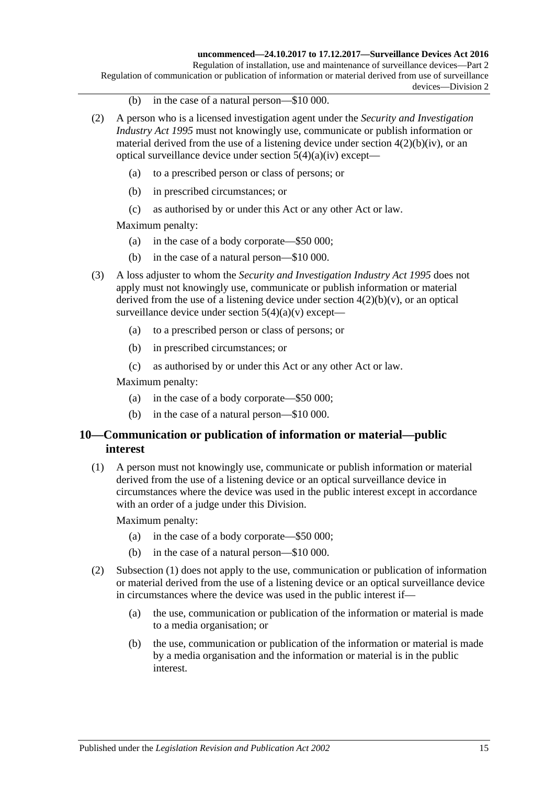Regulation of installation, use and maintenance of surveillance devices—Part 2 Regulation of communication or publication of information or material derived from use of surveillance devices—Division 2

- (b) in the case of a natural person—\$10 000.
- (2) A person who is a licensed investigation agent under the *[Security and Investigation](http://www.legislation.sa.gov.au/index.aspx?action=legref&type=act&legtitle=Security%20and%20Investigation%20Industry%20Act%201995)  [Industry Act](http://www.legislation.sa.gov.au/index.aspx?action=legref&type=act&legtitle=Security%20and%20Investigation%20Industry%20Act%201995) 1995* must not knowingly use, communicate or publish information or material derived from the use of a listening device under section  $4(2)(b)(iv)$ , or an optical surveillance device under section  $5(4)(a)(iv)$  except-
	- (a) to a prescribed person or class of persons; or
	- (b) in prescribed circumstances; or
	- (c) as authorised by or under this Act or any other Act or law.

Maximum penalty:

- (a) in the case of a body corporate—\$50 000;
- (b) in the case of a natural person—\$10 000.
- (3) A loss adjuster to whom the *[Security and Investigation Industry Act](http://www.legislation.sa.gov.au/index.aspx?action=legref&type=act&legtitle=Security%20and%20Investigation%20Industry%20Act%201995) 1995* does not apply must not knowingly use, communicate or publish information or material derived from the use of a listening device under section  $4(2)(b)(v)$ , or an optical surveillance device under section  $5(4)(a)(v)$  except—
	- (a) to a prescribed person or class of persons; or
	- (b) in prescribed circumstances; or
	- (c) as authorised by or under this Act or any other Act or law.

Maximum penalty:

- (a) in the case of a body corporate—\$50 000;
- (b) in the case of a natural person—\$10 000.

### <span id="page-14-0"></span>**10—Communication or publication of information or material—public interest**

<span id="page-14-1"></span>(1) A person must not knowingly use, communicate or publish information or material derived from the use of a listening device or an optical surveillance device in circumstances where the device was used in the public interest except in accordance with an order of a judge under this Division.

- (a) in the case of a body corporate—\$50 000;
- (b) in the case of a natural person—\$10 000.
- (2) [Subsection \(1\)](#page-14-1) does not apply to the use, communication or publication of information or material derived from the use of a listening device or an optical surveillance device in circumstances where the device was used in the public interest if—
	- (a) the use, communication or publication of the information or material is made to a media organisation; or
	- (b) the use, communication or publication of the information or material is made by a media organisation and the information or material is in the public interest.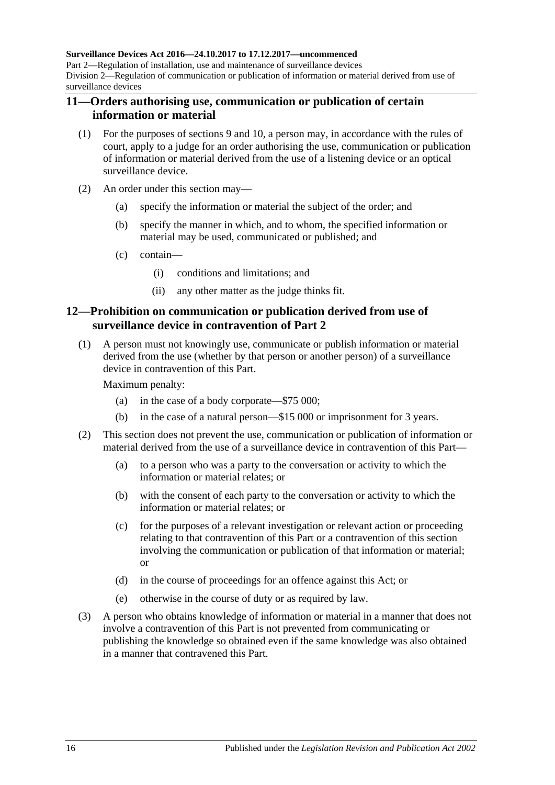#### **Surveillance Devices Act 2016—24.10.2017 to 17.12.2017—uncommenced**

Part 2—Regulation of installation, use and maintenance of surveillance devices Division 2—Regulation of communication or publication of information or material derived from use of surveillance devices

### <span id="page-15-0"></span>**11—Orders authorising use, communication or publication of certain information or material**

- (1) For the purposes of [sections](#page-13-2) 9 and [10,](#page-14-0) a person may, in accordance with the rules of court, apply to a judge for an order authorising the use, communication or publication of information or material derived from the use of a listening device or an optical surveillance device.
- (2) An order under this section may—
	- (a) specify the information or material the subject of the order; and
	- (b) specify the manner in which, and to whom, the specified information or material may be used, communicated or published; and
	- (c) contain—
		- (i) conditions and limitations; and
		- (ii) any other matter as the judge thinks fit.

### <span id="page-15-1"></span>**12—Prohibition on communication or publication derived from use of surveillance device in contravention of [Part](#page-8-0) 2**

(1) A person must not knowingly use, communicate or publish information or material derived from the use (whether by that person or another person) of a surveillance device in contravention of this Part.

- (a) in the case of a body corporate—\$75 000;
- (b) in the case of a natural person—\$15 000 or imprisonment for 3 years.
- (2) This section does not prevent the use, communication or publication of information or material derived from the use of a surveillance device in contravention of this Part—
	- (a) to a person who was a party to the conversation or activity to which the information or material relates; or
	- (b) with the consent of each party to the conversation or activity to which the information or material relates; or
	- (c) for the purposes of a relevant investigation or relevant action or proceeding relating to that contravention of this Part or a contravention of this section involving the communication or publication of that information or material; or
	- (d) in the course of proceedings for an offence against this Act; or
	- (e) otherwise in the course of duty or as required by law.
- (3) A person who obtains knowledge of information or material in a manner that does not involve a contravention of this Part is not prevented from communicating or publishing the knowledge so obtained even if the same knowledge was also obtained in a manner that contravened this Part.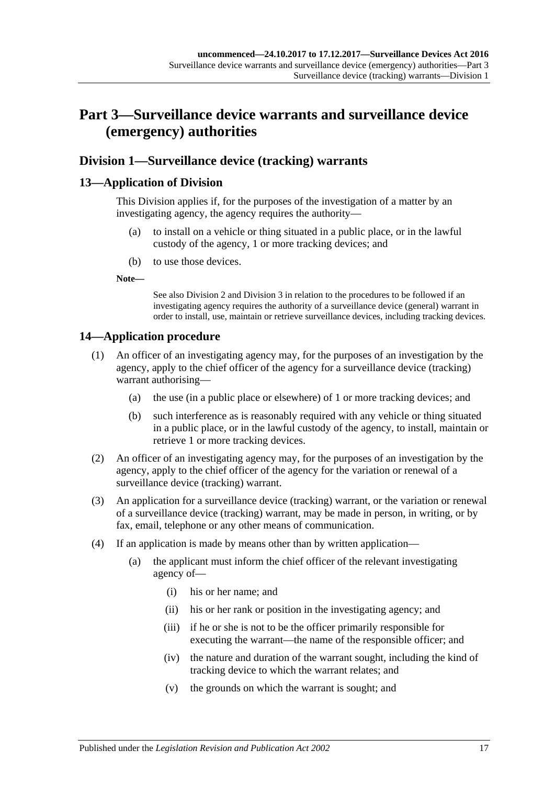## <span id="page-16-0"></span>**Part 3—Surveillance device warrants and surveillance device (emergency) authorities**

### <span id="page-16-1"></span>**Division 1—Surveillance device (tracking) warrants**

### <span id="page-16-2"></span>**13—Application of Division**

This Division applies if, for the purposes of the investigation of a matter by an investigating agency, the agency requires the authority—

- (a) to install on a vehicle or thing situated in a public place, or in the lawful custody of the agency, 1 or more tracking devices; and
- (b) to use those devices.

**Note—**

See also [Division](#page-18-0) 2 and [Division](#page-23-0) 3 in relation to the procedures to be followed if an investigating agency requires the authority of a surveillance device (general) warrant in order to install, use, maintain or retrieve surveillance devices, including tracking devices.

### <span id="page-16-3"></span>**14—Application procedure**

- (1) An officer of an investigating agency may, for the purposes of an investigation by the agency, apply to the chief officer of the agency for a surveillance device (tracking) warrant authorising—
	- (a) the use (in a public place or elsewhere) of 1 or more tracking devices; and
	- (b) such interference as is reasonably required with any vehicle or thing situated in a public place, or in the lawful custody of the agency, to install, maintain or retrieve 1 or more tracking devices.
- (2) An officer of an investigating agency may, for the purposes of an investigation by the agency, apply to the chief officer of the agency for the variation or renewal of a surveillance device (tracking) warrant.
- (3) An application for a surveillance device (tracking) warrant, or the variation or renewal of a surveillance device (tracking) warrant, may be made in person, in writing, or by fax, email, telephone or any other means of communication.
- (4) If an application is made by means other than by written application—
	- (a) the applicant must inform the chief officer of the relevant investigating agency of—
		- (i) his or her name; and
		- (ii) his or her rank or position in the investigating agency; and
		- (iii) if he or she is not to be the officer primarily responsible for executing the warrant—the name of the responsible officer; and
		- (iv) the nature and duration of the warrant sought, including the kind of tracking device to which the warrant relates; and
		- (v) the grounds on which the warrant is sought; and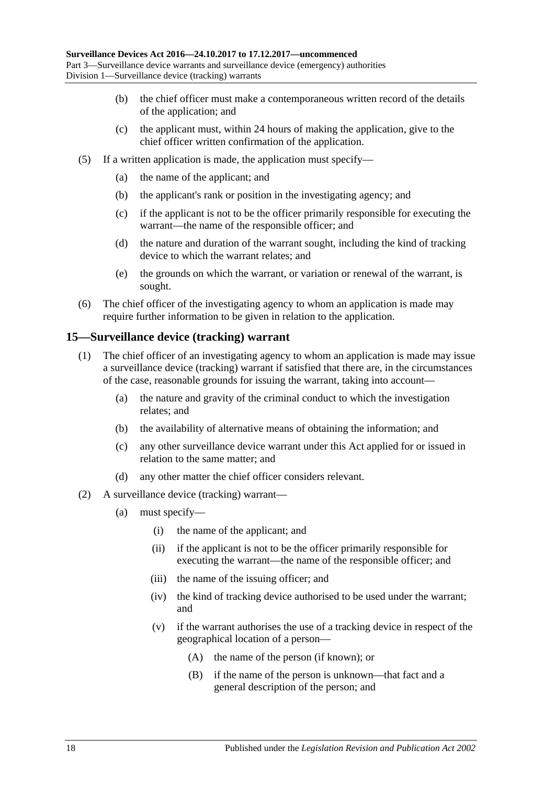- (b) the chief officer must make a contemporaneous written record of the details of the application; and
- (c) the applicant must, within 24 hours of making the application, give to the chief officer written confirmation of the application.
- (5) If a written application is made, the application must specify—
	- (a) the name of the applicant; and
	- (b) the applicant's rank or position in the investigating agency; and
	- (c) if the applicant is not to be the officer primarily responsible for executing the warrant—the name of the responsible officer; and
	- (d) the nature and duration of the warrant sought, including the kind of tracking device to which the warrant relates; and
	- (e) the grounds on which the warrant, or variation or renewal of the warrant, is sought.
- (6) The chief officer of the investigating agency to whom an application is made may require further information to be given in relation to the application.

### <span id="page-17-0"></span>**15—Surveillance device (tracking) warrant**

- (1) The chief officer of an investigating agency to whom an application is made may issue a surveillance device (tracking) warrant if satisfied that there are, in the circumstances of the case, reasonable grounds for issuing the warrant, taking into account—
	- (a) the nature and gravity of the criminal conduct to which the investigation relates; and
	- (b) the availability of alternative means of obtaining the information; and
	- (c) any other surveillance device warrant under this Act applied for or issued in relation to the same matter; and
	- (d) any other matter the chief officer considers relevant.
- (2) A surveillance device (tracking) warrant—
	- (a) must specify—
		- (i) the name of the applicant; and
		- (ii) if the applicant is not to be the officer primarily responsible for executing the warrant—the name of the responsible officer; and
		- (iii) the name of the issuing officer; and
		- (iv) the kind of tracking device authorised to be used under the warrant; and
		- (v) if the warrant authorises the use of a tracking device in respect of the geographical location of a person—
			- (A) the name of the person (if known); or
			- (B) if the name of the person is unknown—that fact and a general description of the person; and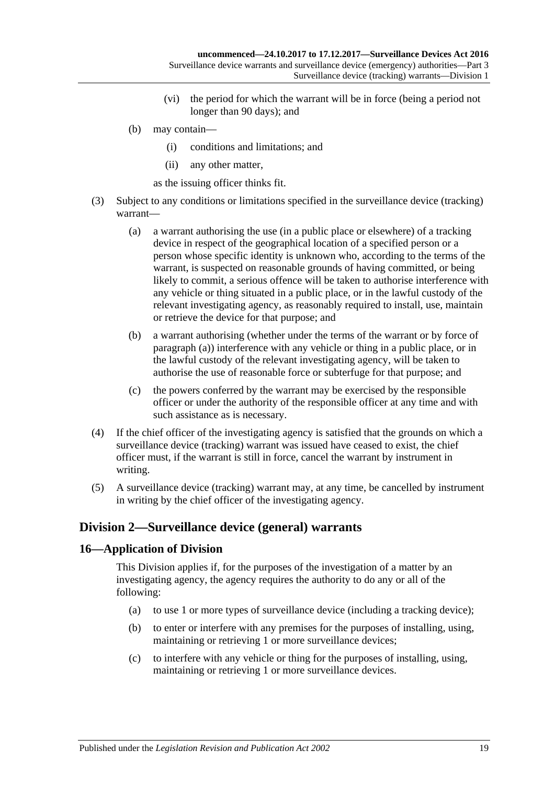- (vi) the period for which the warrant will be in force (being a period not longer than 90 days); and
- (b) may contain—
	- (i) conditions and limitations; and
	- (ii) any other matter,

as the issuing officer thinks fit.

- <span id="page-18-2"></span>(3) Subject to any conditions or limitations specified in the surveillance device (tracking) warrant—
	- (a) a warrant authorising the use (in a public place or elsewhere) of a tracking device in respect of the geographical location of a specified person or a person whose specific identity is unknown who, according to the terms of the warrant, is suspected on reasonable grounds of having committed, or being likely to commit, a serious offence will be taken to authorise interference with any vehicle or thing situated in a public place, or in the lawful custody of the relevant investigating agency, as reasonably required to install, use, maintain or retrieve the device for that purpose; and
	- (b) a warrant authorising (whether under the terms of the warrant or by force of [paragraph](#page-18-2) (a)) interference with any vehicle or thing in a public place, or in the lawful custody of the relevant investigating agency, will be taken to authorise the use of reasonable force or subterfuge for that purpose; and
	- (c) the powers conferred by the warrant may be exercised by the responsible officer or under the authority of the responsible officer at any time and with such assistance as is necessary.
- (4) If the chief officer of the investigating agency is satisfied that the grounds on which a surveillance device (tracking) warrant was issued have ceased to exist, the chief officer must, if the warrant is still in force, cancel the warrant by instrument in writing.
- (5) A surveillance device (tracking) warrant may, at any time, be cancelled by instrument in writing by the chief officer of the investigating agency.

### <span id="page-18-0"></span>**Division 2—Surveillance device (general) warrants**

### <span id="page-18-1"></span>**16—Application of Division**

This Division applies if, for the purposes of the investigation of a matter by an investigating agency, the agency requires the authority to do any or all of the following:

- (a) to use 1 or more types of surveillance device (including a tracking device);
- (b) to enter or interfere with any premises for the purposes of installing, using, maintaining or retrieving 1 or more surveillance devices;
- (c) to interfere with any vehicle or thing for the purposes of installing, using, maintaining or retrieving 1 or more surveillance devices.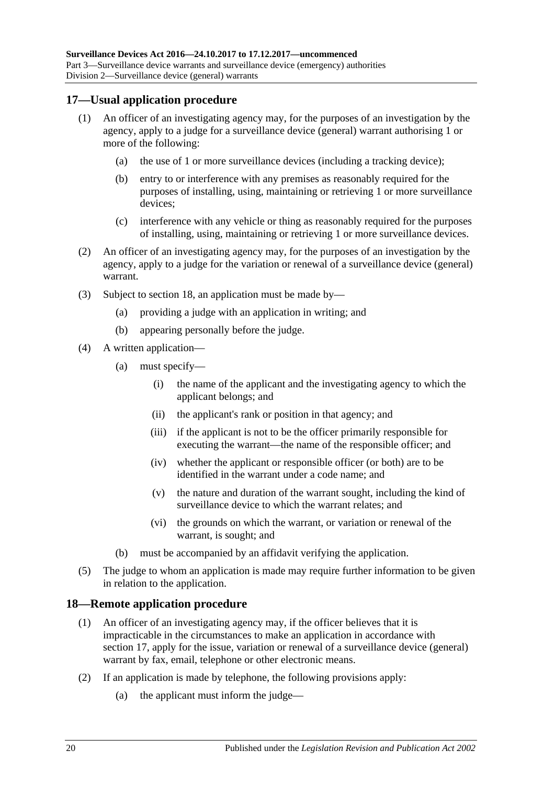### <span id="page-19-0"></span>**17—Usual application procedure**

- (1) An officer of an investigating agency may, for the purposes of an investigation by the agency, apply to a judge for a surveillance device (general) warrant authorising 1 or more of the following:
	- (a) the use of 1 or more surveillance devices (including a tracking device);
	- (b) entry to or interference with any premises as reasonably required for the purposes of installing, using, maintaining or retrieving 1 or more surveillance devices;
	- (c) interference with any vehicle or thing as reasonably required for the purposes of installing, using, maintaining or retrieving 1 or more surveillance devices.
- (2) An officer of an investigating agency may, for the purposes of an investigation by the agency, apply to a judge for the variation or renewal of a surveillance device (general) warrant.
- (3) Subject to [section](#page-19-1) 18, an application must be made by—
	- (a) providing a judge with an application in writing; and
	- (b) appearing personally before the judge.
- (4) A written application—
	- (a) must specify—
		- (i) the name of the applicant and the investigating agency to which the applicant belongs; and
		- (ii) the applicant's rank or position in that agency; and
		- (iii) if the applicant is not to be the officer primarily responsible for executing the warrant—the name of the responsible officer; and
		- (iv) whether the applicant or responsible officer (or both) are to be identified in the warrant under a code name; and
		- (v) the nature and duration of the warrant sought, including the kind of surveillance device to which the warrant relates; and
		- (vi) the grounds on which the warrant, or variation or renewal of the warrant, is sought; and
	- (b) must be accompanied by an affidavit verifying the application.
- (5) The judge to whom an application is made may require further information to be given in relation to the application.

#### <span id="page-19-1"></span>**18—Remote application procedure**

- (1) An officer of an investigating agency may, if the officer believes that it is impracticable in the circumstances to make an application in accordance with [section](#page-19-0) 17, apply for the issue, variation or renewal of a surveillance device (general) warrant by fax, email, telephone or other electronic means.
- (2) If an application is made by telephone, the following provisions apply:
	- (a) the applicant must inform the judge—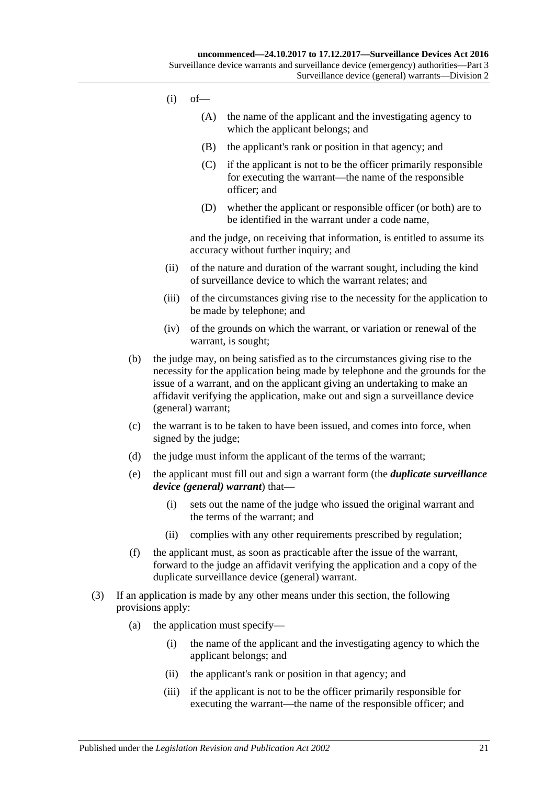- $(i)$  of  $-$ 
	- (A) the name of the applicant and the investigating agency to which the applicant belongs; and
	- (B) the applicant's rank or position in that agency; and
	- (C) if the applicant is not to be the officer primarily responsible for executing the warrant—the name of the responsible officer; and
	- (D) whether the applicant or responsible officer (or both) are to be identified in the warrant under a code name,

and the judge, on receiving that information, is entitled to assume its accuracy without further inquiry; and

- (ii) of the nature and duration of the warrant sought, including the kind of surveillance device to which the warrant relates; and
- (iii) of the circumstances giving rise to the necessity for the application to be made by telephone; and
- (iv) of the grounds on which the warrant, or variation or renewal of the warrant, is sought;
- (b) the judge may, on being satisfied as to the circumstances giving rise to the necessity for the application being made by telephone and the grounds for the issue of a warrant, and on the applicant giving an undertaking to make an affidavit verifying the application, make out and sign a surveillance device (general) warrant;
- (c) the warrant is to be taken to have been issued, and comes into force, when signed by the judge;
- <span id="page-20-0"></span>(d) the judge must inform the applicant of the terms of the warrant;
- (e) the applicant must fill out and sign a warrant form (the *duplicate surveillance device (general) warrant*) that—
	- (i) sets out the name of the judge who issued the original warrant and the terms of the warrant; and
	- (ii) complies with any other requirements prescribed by regulation;
- (f) the applicant must, as soon as practicable after the issue of the warrant, forward to the judge an affidavit verifying the application and a copy of the duplicate surveillance device (general) warrant.
- (3) If an application is made by any other means under this section, the following provisions apply:
	- (a) the application must specify—
		- (i) the name of the applicant and the investigating agency to which the applicant belongs; and
		- (ii) the applicant's rank or position in that agency; and
		- (iii) if the applicant is not to be the officer primarily responsible for executing the warrant—the name of the responsible officer; and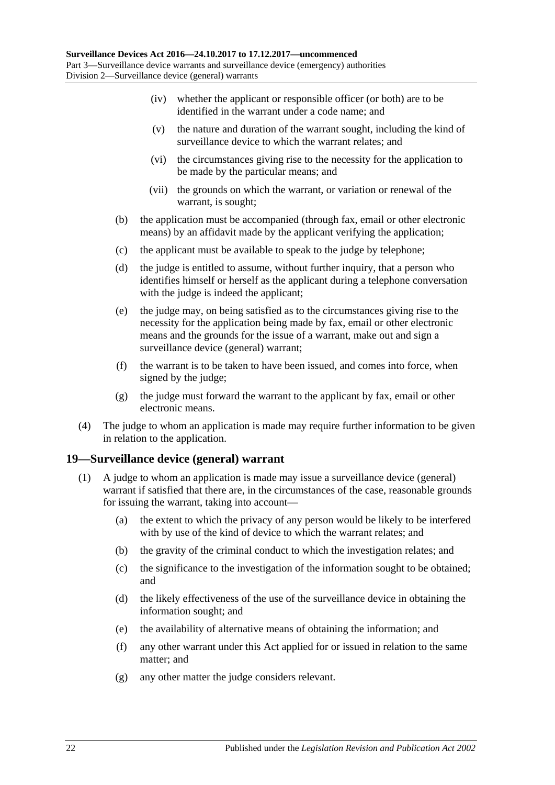- (iv) whether the applicant or responsible officer (or both) are to be identified in the warrant under a code name; and
- (v) the nature and duration of the warrant sought, including the kind of surveillance device to which the warrant relates; and
- (vi) the circumstances giving rise to the necessity for the application to be made by the particular means; and
- (vii) the grounds on which the warrant, or variation or renewal of the warrant, is sought;
- (b) the application must be accompanied (through fax, email or other electronic means) by an affidavit made by the applicant verifying the application;
- (c) the applicant must be available to speak to the judge by telephone;
- (d) the judge is entitled to assume, without further inquiry, that a person who identifies himself or herself as the applicant during a telephone conversation with the judge is indeed the applicant;
- (e) the judge may, on being satisfied as to the circumstances giving rise to the necessity for the application being made by fax, email or other electronic means and the grounds for the issue of a warrant, make out and sign a surveillance device (general) warrant;
- (f) the warrant is to be taken to have been issued, and comes into force, when signed by the judge;
- (g) the judge must forward the warrant to the applicant by fax, email or other electronic means.
- (4) The judge to whom an application is made may require further information to be given in relation to the application.

### <span id="page-21-0"></span>**19—Surveillance device (general) warrant**

- (1) A judge to whom an application is made may issue a surveillance device (general) warrant if satisfied that there are, in the circumstances of the case, reasonable grounds for issuing the warrant, taking into account—
	- (a) the extent to which the privacy of any person would be likely to be interfered with by use of the kind of device to which the warrant relates; and
	- (b) the gravity of the criminal conduct to which the investigation relates; and
	- (c) the significance to the investigation of the information sought to be obtained; and
	- (d) the likely effectiveness of the use of the surveillance device in obtaining the information sought; and
	- (e) the availability of alternative means of obtaining the information; and
	- (f) any other warrant under this Act applied for or issued in relation to the same matter; and
	- (g) any other matter the judge considers relevant.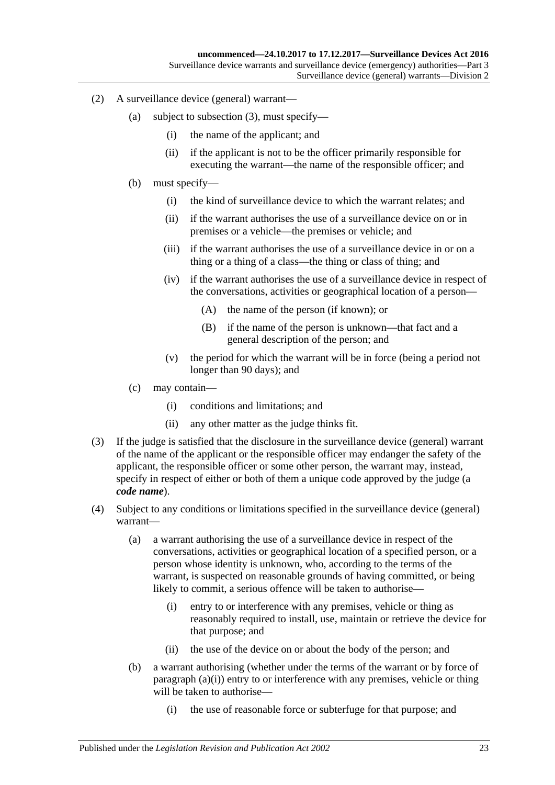- (2) A surveillance device (general) warrant—
	- (a) subject to [subsection](#page-22-0) (3), must specify—
		- (i) the name of the applicant; and
		- (ii) if the applicant is not to be the officer primarily responsible for executing the warrant—the name of the responsible officer; and
	- (b) must specify—
		- (i) the kind of surveillance device to which the warrant relates; and
		- (ii) if the warrant authorises the use of a surveillance device on or in premises or a vehicle—the premises or vehicle; and
		- (iii) if the warrant authorises the use of a surveillance device in or on a thing or a thing of a class—the thing or class of thing; and
		- (iv) if the warrant authorises the use of a surveillance device in respect of the conversations, activities or geographical location of a person—
			- (A) the name of the person (if known); or
			- (B) if the name of the person is unknown—that fact and a general description of the person; and
		- (v) the period for which the warrant will be in force (being a period not longer than 90 days); and
	- (c) may contain—
		- (i) conditions and limitations; and
		- (ii) any other matter as the judge thinks fit.
- <span id="page-22-0"></span>(3) If the judge is satisfied that the disclosure in the surveillance device (general) warrant of the name of the applicant or the responsible officer may endanger the safety of the applicant, the responsible officer or some other person, the warrant may, instead, specify in respect of either or both of them a unique code approved by the judge (a *code name*).
- <span id="page-22-1"></span>(4) Subject to any conditions or limitations specified in the surveillance device (general) warrant—
	- (a) a warrant authorising the use of a surveillance device in respect of the conversations, activities or geographical location of a specified person, or a person whose identity is unknown, who, according to the terms of the warrant, is suspected on reasonable grounds of having committed, or being likely to commit, a serious offence will be taken to authorise—
		- (i) entry to or interference with any premises, vehicle or thing as reasonably required to install, use, maintain or retrieve the device for that purpose; and
		- (ii) the use of the device on or about the body of the person; and
	- (b) a warrant authorising (whether under the terms of the warrant or by force of [paragraph](#page-22-1)  $(a)(i)$ ) entry to or interference with any premises, vehicle or thing will be taken to authorise—
		- (i) the use of reasonable force or subterfuge for that purpose; and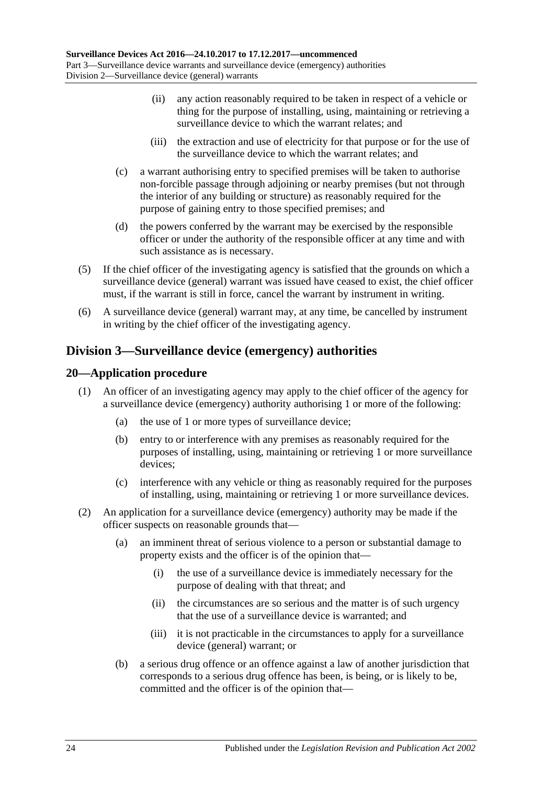- (ii) any action reasonably required to be taken in respect of a vehicle or thing for the purpose of installing, using, maintaining or retrieving a surveillance device to which the warrant relates; and
- (iii) the extraction and use of electricity for that purpose or for the use of the surveillance device to which the warrant relates; and
- (c) a warrant authorising entry to specified premises will be taken to authorise non-forcible passage through adjoining or nearby premises (but not through the interior of any building or structure) as reasonably required for the purpose of gaining entry to those specified premises; and
- (d) the powers conferred by the warrant may be exercised by the responsible officer or under the authority of the responsible officer at any time and with such assistance as is necessary.
- (5) If the chief officer of the investigating agency is satisfied that the grounds on which a surveillance device (general) warrant was issued have ceased to exist, the chief officer must, if the warrant is still in force, cancel the warrant by instrument in writing.
- (6) A surveillance device (general) warrant may, at any time, be cancelled by instrument in writing by the chief officer of the investigating agency.

### <span id="page-23-0"></span>**Division 3—Surveillance device (emergency) authorities**

### <span id="page-23-1"></span>**20—Application procedure**

- (1) An officer of an investigating agency may apply to the chief officer of the agency for a surveillance device (emergency) authority authorising 1 or more of the following:
	- (a) the use of 1 or more types of surveillance device;
	- (b) entry to or interference with any premises as reasonably required for the purposes of installing, using, maintaining or retrieving 1 or more surveillance devices;
	- (c) interference with any vehicle or thing as reasonably required for the purposes of installing, using, maintaining or retrieving 1 or more surveillance devices.
- (2) An application for a surveillance device (emergency) authority may be made if the officer suspects on reasonable grounds that—
	- (a) an imminent threat of serious violence to a person or substantial damage to property exists and the officer is of the opinion that—
		- (i) the use of a surveillance device is immediately necessary for the purpose of dealing with that threat; and
		- (ii) the circumstances are so serious and the matter is of such urgency that the use of a surveillance device is warranted; and
		- (iii) it is not practicable in the circumstances to apply for a surveillance device (general) warrant; or
	- (b) a serious drug offence or an offence against a law of another jurisdiction that corresponds to a serious drug offence has been, is being, or is likely to be, committed and the officer is of the opinion that—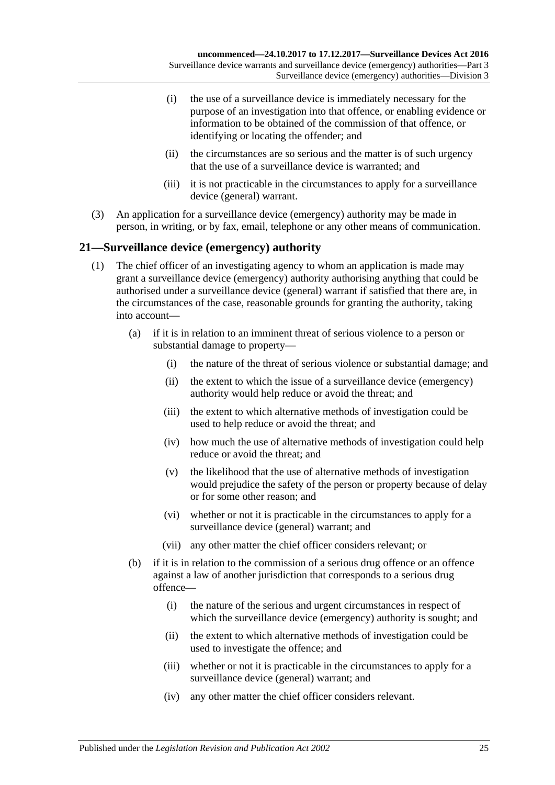- (i) the use of a surveillance device is immediately necessary for the purpose of an investigation into that offence, or enabling evidence or information to be obtained of the commission of that offence, or identifying or locating the offender; and
- (ii) the circumstances are so serious and the matter is of such urgency that the use of a surveillance device is warranted; and
- (iii) it is not practicable in the circumstances to apply for a surveillance device (general) warrant.
- (3) An application for a surveillance device (emergency) authority may be made in person, in writing, or by fax, email, telephone or any other means of communication.

### <span id="page-24-0"></span>**21—Surveillance device (emergency) authority**

- (1) The chief officer of an investigating agency to whom an application is made may grant a surveillance device (emergency) authority authorising anything that could be authorised under a surveillance device (general) warrant if satisfied that there are, in the circumstances of the case, reasonable grounds for granting the authority, taking into account—
	- (a) if it is in relation to an imminent threat of serious violence to a person or substantial damage to property—
		- (i) the nature of the threat of serious violence or substantial damage; and
		- (ii) the extent to which the issue of a surveillance device (emergency) authority would help reduce or avoid the threat; and
		- (iii) the extent to which alternative methods of investigation could be used to help reduce or avoid the threat; and
		- (iv) how much the use of alternative methods of investigation could help reduce or avoid the threat; and
		- (v) the likelihood that the use of alternative methods of investigation would prejudice the safety of the person or property because of delay or for some other reason; and
		- (vi) whether or not it is practicable in the circumstances to apply for a surveillance device (general) warrant; and
		- (vii) any other matter the chief officer considers relevant; or
	- (b) if it is in relation to the commission of a serious drug offence or an offence against a law of another jurisdiction that corresponds to a serious drug offence—
		- (i) the nature of the serious and urgent circumstances in respect of which the surveillance device (emergency) authority is sought; and
		- (ii) the extent to which alternative methods of investigation could be used to investigate the offence; and
		- (iii) whether or not it is practicable in the circumstances to apply for a surveillance device (general) warrant; and
		- (iv) any other matter the chief officer considers relevant.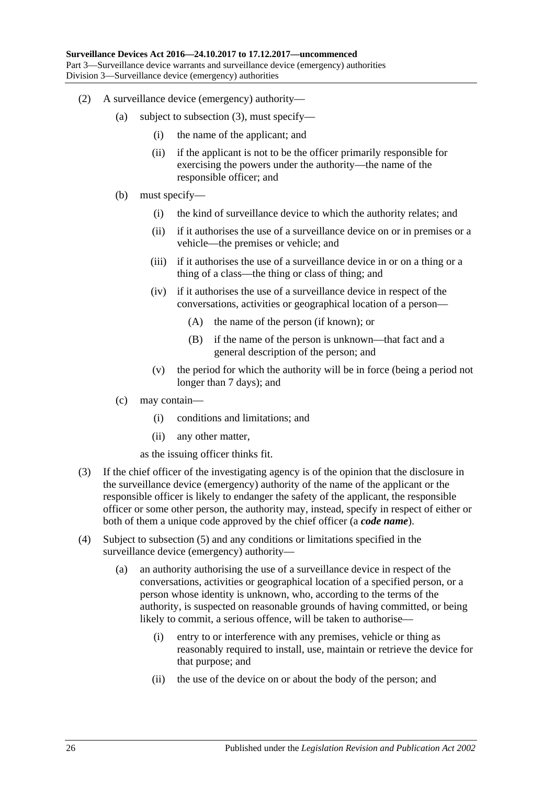- (2) A surveillance device (emergency) authority—
	- (a) subject to [subsection](#page-25-0) (3), must specify—
		- (i) the name of the applicant; and
		- (ii) if the applicant is not to be the officer primarily responsible for exercising the powers under the authority—the name of the responsible officer; and
	- (b) must specify—
		- (i) the kind of surveillance device to which the authority relates; and
		- (ii) if it authorises the use of a surveillance device on or in premises or a vehicle—the premises or vehicle; and
		- (iii) if it authorises the use of a surveillance device in or on a thing or a thing of a class—the thing or class of thing; and
		- (iv) if it authorises the use of a surveillance device in respect of the conversations, activities or geographical location of a person—
			- (A) the name of the person (if known); or
			- (B) if the name of the person is unknown—that fact and a general description of the person; and
		- (v) the period for which the authority will be in force (being a period not longer than 7 days); and
	- (c) may contain—
		- (i) conditions and limitations; and
		- (ii) any other matter,

as the issuing officer thinks fit.

- <span id="page-25-0"></span>(3) If the chief officer of the investigating agency is of the opinion that the disclosure in the surveillance device (emergency) authority of the name of the applicant or the responsible officer is likely to endanger the safety of the applicant, the responsible officer or some other person, the authority may, instead, specify in respect of either or both of them a unique code approved by the chief officer (a *code name*).
- <span id="page-25-1"></span>(4) Subject to [subsection](#page-26-1) (5) and any conditions or limitations specified in the surveillance device (emergency) authority—
	- (a) an authority authorising the use of a surveillance device in respect of the conversations, activities or geographical location of a specified person, or a person whose identity is unknown, who, according to the terms of the authority, is suspected on reasonable grounds of having committed, or being likely to commit, a serious offence, will be taken to authorise—
		- (i) entry to or interference with any premises, vehicle or thing as reasonably required to install, use, maintain or retrieve the device for that purpose; and
		- (ii) the use of the device on or about the body of the person; and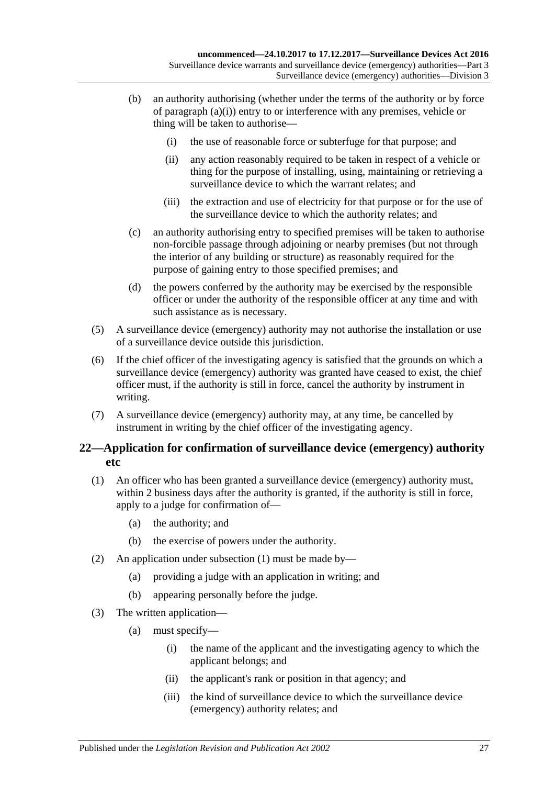- (b) an authority authorising (whether under the terms of the authority or by force of [paragraph](#page-25-1) (a)(i)) entry to or interference with any premises, vehicle or thing will be taken to authorise—
	- (i) the use of reasonable force or subterfuge for that purpose; and
	- (ii) any action reasonably required to be taken in respect of a vehicle or thing for the purpose of installing, using, maintaining or retrieving a surveillance device to which the warrant relates; and
	- (iii) the extraction and use of electricity for that purpose or for the use of the surveillance device to which the authority relates; and
- (c) an authority authorising entry to specified premises will be taken to authorise non-forcible passage through adjoining or nearby premises (but not through the interior of any building or structure) as reasonably required for the purpose of gaining entry to those specified premises; and
- (d) the powers conferred by the authority may be exercised by the responsible officer or under the authority of the responsible officer at any time and with such assistance as is necessary.
- <span id="page-26-1"></span>(5) A surveillance device (emergency) authority may not authorise the installation or use of a surveillance device outside this jurisdiction.
- (6) If the chief officer of the investigating agency is satisfied that the grounds on which a surveillance device (emergency) authority was granted have ceased to exist, the chief officer must, if the authority is still in force, cancel the authority by instrument in writing.
- (7) A surveillance device (emergency) authority may, at any time, be cancelled by instrument in writing by the chief officer of the investigating agency.

### <span id="page-26-0"></span>**22—Application for confirmation of surveillance device (emergency) authority etc**

- <span id="page-26-2"></span>(1) An officer who has been granted a surveillance device (emergency) authority must, within 2 business days after the authority is granted, if the authority is still in force, apply to a judge for confirmation of—
	- (a) the authority; and
	- (b) the exercise of powers under the authority.
- (2) An application under [subsection](#page-26-2) (1) must be made by—
	- (a) providing a judge with an application in writing; and
	- (b) appearing personally before the judge.
- (3) The written application—
	- (a) must specify—
		- (i) the name of the applicant and the investigating agency to which the applicant belongs; and
		- (ii) the applicant's rank or position in that agency; and
		- (iii) the kind of surveillance device to which the surveillance device (emergency) authority relates; and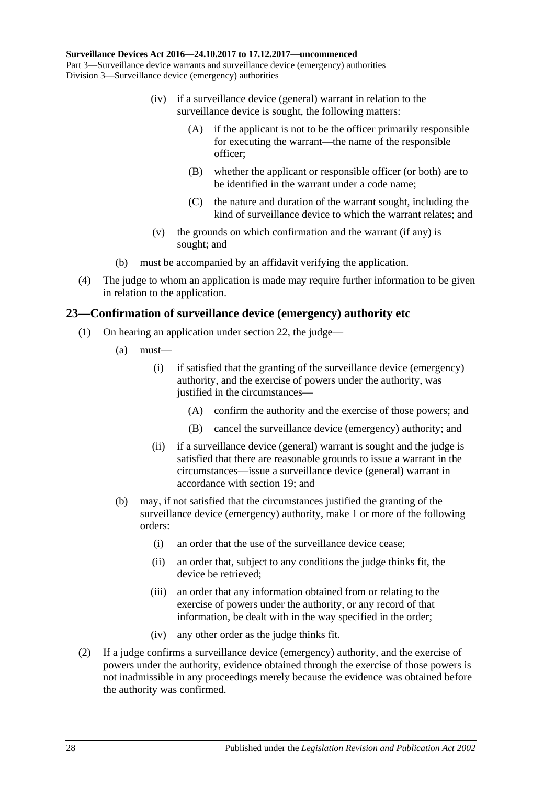- (iv) if a surveillance device (general) warrant in relation to the surveillance device is sought, the following matters:
	- (A) if the applicant is not to be the officer primarily responsible for executing the warrant—the name of the responsible officer;
	- (B) whether the applicant or responsible officer (or both) are to be identified in the warrant under a code name;
	- (C) the nature and duration of the warrant sought, including the kind of surveillance device to which the warrant relates; and
- (v) the grounds on which confirmation and the warrant (if any) is sought; and
- (b) must be accompanied by an affidavit verifying the application.
- (4) The judge to whom an application is made may require further information to be given in relation to the application.

### <span id="page-27-0"></span>**23—Confirmation of surveillance device (emergency) authority etc**

- (1) On hearing an application under [section](#page-26-0) 22, the judge—
	- (a) must—
		- (i) if satisfied that the granting of the surveillance device (emergency) authority, and the exercise of powers under the authority, was justified in the circumstances—
			- (A) confirm the authority and the exercise of those powers; and
			- (B) cancel the surveillance device (emergency) authority; and
		- (ii) if a surveillance device (general) warrant is sought and the judge is satisfied that there are reasonable grounds to issue a warrant in the circumstances—issue a surveillance device (general) warrant in accordance with [section](#page-21-0) 19; and
	- (b) may, if not satisfied that the circumstances justified the granting of the surveillance device (emergency) authority, make 1 or more of the following orders:
		- (i) an order that the use of the surveillance device cease;
		- (ii) an order that, subject to any conditions the judge thinks fit, the device be retrieved;
		- (iii) an order that any information obtained from or relating to the exercise of powers under the authority, or any record of that information, be dealt with in the way specified in the order;
		- (iv) any other order as the judge thinks fit.
- (2) If a judge confirms a surveillance device (emergency) authority, and the exercise of powers under the authority, evidence obtained through the exercise of those powers is not inadmissible in any proceedings merely because the evidence was obtained before the authority was confirmed.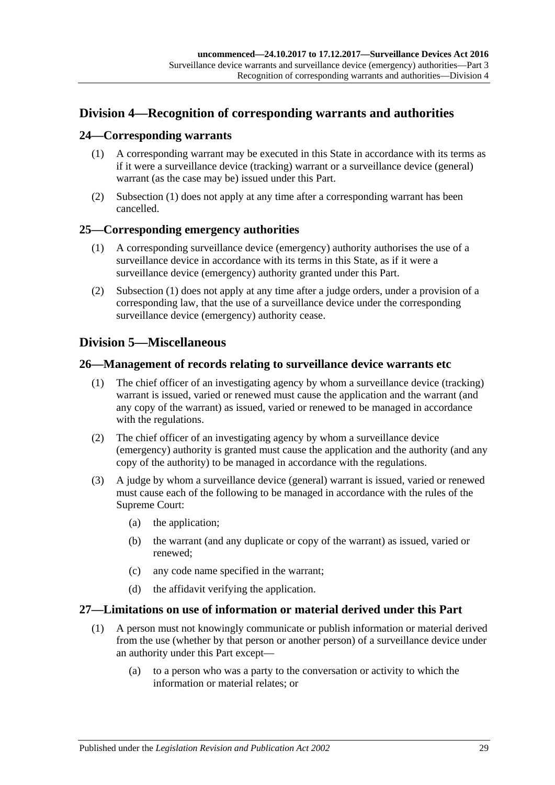### <span id="page-28-0"></span>**Division 4—Recognition of corresponding warrants and authorities**

### <span id="page-28-6"></span><span id="page-28-1"></span>**24—Corresponding warrants**

- (1) A corresponding warrant may be executed in this State in accordance with its terms as if it were a surveillance device (tracking) warrant or a surveillance device (general) warrant (as the case may be) issued under this Part.
- (2) [Subsection](#page-28-6) (1) does not apply at any time after a corresponding warrant has been cancelled.

### <span id="page-28-7"></span><span id="page-28-2"></span>**25—Corresponding emergency authorities**

- (1) A corresponding surveillance device (emergency) authority authorises the use of a surveillance device in accordance with its terms in this State, as if it were a surveillance device (emergency) authority granted under this Part.
- (2) [Subsection](#page-28-7) (1) does not apply at any time after a judge orders, under a provision of a corresponding law, that the use of a surveillance device under the corresponding surveillance device (emergency) authority cease.

### <span id="page-28-3"></span>**Division 5—Miscellaneous**

### <span id="page-28-4"></span>**26—Management of records relating to surveillance device warrants etc**

- (1) The chief officer of an investigating agency by whom a surveillance device (tracking) warrant is issued, varied or renewed must cause the application and the warrant (and any copy of the warrant) as issued, varied or renewed to be managed in accordance with the regulations.
- (2) The chief officer of an investigating agency by whom a surveillance device (emergency) authority is granted must cause the application and the authority (and any copy of the authority) to be managed in accordance with the regulations.
- (3) A judge by whom a surveillance device (general) warrant is issued, varied or renewed must cause each of the following to be managed in accordance with the rules of the Supreme Court:
	- (a) the application;
	- (b) the warrant (and any duplicate or copy of the warrant) as issued, varied or renewed;
	- (c) any code name specified in the warrant;
	- (d) the affidavit verifying the application.

### <span id="page-28-5"></span>**27—Limitations on use of information or material derived under this Part**

- (1) A person must not knowingly communicate or publish information or material derived from the use (whether by that person or another person) of a surveillance device under an authority under this Part except—
	- (a) to a person who was a party to the conversation or activity to which the information or material relates; or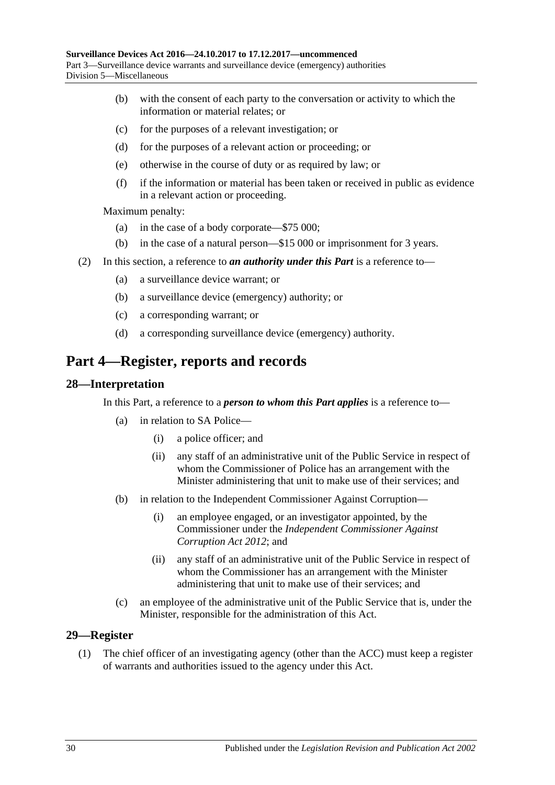- (b) with the consent of each party to the conversation or activity to which the information or material relates; or
- (c) for the purposes of a relevant investigation; or
- (d) for the purposes of a relevant action or proceeding; or
- (e) otherwise in the course of duty or as required by law; or
- (f) if the information or material has been taken or received in public as evidence in a relevant action or proceeding.

Maximum penalty:

- (a) in the case of a body corporate—\$75 000;
- (b) in the case of a natural person—\$15 000 or imprisonment for 3 years.
- (2) In this section, a reference to *an authority under this Part* is a reference to—
	- (a) a surveillance device warrant; or
	- (b) a surveillance device (emergency) authority; or
	- (c) a corresponding warrant; or
	- (d) a corresponding surveillance device (emergency) authority.

## <span id="page-29-0"></span>**Part 4—Register, reports and records**

#### <span id="page-29-1"></span>**28—Interpretation**

In this Part, a reference to a *person to whom this Part applies* is a reference to—

- (a) in relation to SA Police—
	- (i) a police officer; and
	- (ii) any staff of an administrative unit of the Public Service in respect of whom the Commissioner of Police has an arrangement with the Minister administering that unit to make use of their services; and
- (b) in relation to the Independent Commissioner Against Corruption—
	- (i) an employee engaged, or an investigator appointed, by the Commissioner under the *[Independent Commissioner Against](http://www.legislation.sa.gov.au/index.aspx?action=legref&type=act&legtitle=Independent%20Commissioner%20Against%20Corruption%20Act%202012)  [Corruption Act](http://www.legislation.sa.gov.au/index.aspx?action=legref&type=act&legtitle=Independent%20Commissioner%20Against%20Corruption%20Act%202012) 2012*; and
	- (ii) any staff of an administrative unit of the Public Service in respect of whom the Commissioner has an arrangement with the Minister administering that unit to make use of their services; and
- (c) an employee of the administrative unit of the Public Service that is, under the Minister, responsible for the administration of this Act.

#### <span id="page-29-2"></span>**29—Register**

(1) The chief officer of an investigating agency (other than the ACC) must keep a register of warrants and authorities issued to the agency under this Act.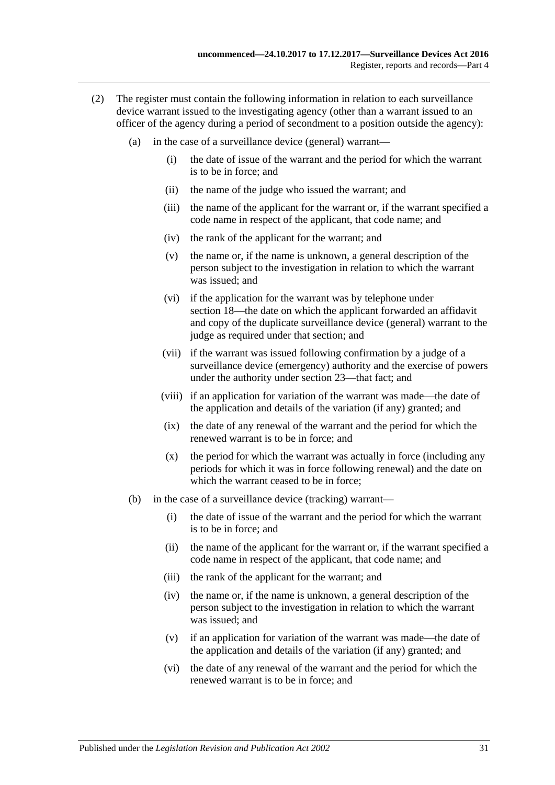- (2) The register must contain the following information in relation to each surveillance device warrant issued to the investigating agency (other than a warrant issued to an officer of the agency during a period of secondment to a position outside the agency):
	- (a) in the case of a surveillance device (general) warrant—
		- (i) the date of issue of the warrant and the period for which the warrant is to be in force; and
		- (ii) the name of the judge who issued the warrant; and
		- (iii) the name of the applicant for the warrant or, if the warrant specified a code name in respect of the applicant, that code name; and
		- (iv) the rank of the applicant for the warrant; and
		- (v) the name or, if the name is unknown, a general description of the person subject to the investigation in relation to which the warrant was issued; and
		- (vi) if the application for the warrant was by telephone under [section](#page-19-1) 18—the date on which the applicant forwarded an affidavit and copy of the duplicate surveillance device (general) warrant to the judge as required under that section; and
		- (vii) if the warrant was issued following confirmation by a judge of a surveillance device (emergency) authority and the exercise of powers under the authority under [section](#page-27-0) 23—that fact; and
		- (viii) if an application for variation of the warrant was made—the date of the application and details of the variation (if any) granted; and
		- (ix) the date of any renewal of the warrant and the period for which the renewed warrant is to be in force; and
		- (x) the period for which the warrant was actually in force (including any periods for which it was in force following renewal) and the date on which the warrant ceased to be in force:
	- (b) in the case of a surveillance device (tracking) warrant—
		- (i) the date of issue of the warrant and the period for which the warrant is to be in force; and
		- (ii) the name of the applicant for the warrant or, if the warrant specified a code name in respect of the applicant, that code name; and
		- (iii) the rank of the applicant for the warrant; and
		- (iv) the name or, if the name is unknown, a general description of the person subject to the investigation in relation to which the warrant was issued; and
		- (v) if an application for variation of the warrant was made—the date of the application and details of the variation (if any) granted; and
		- (vi) the date of any renewal of the warrant and the period for which the renewed warrant is to be in force; and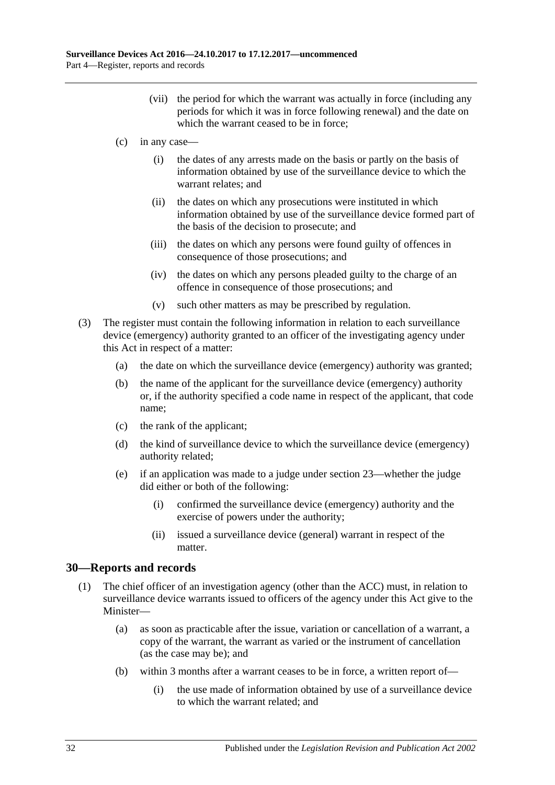- (vii) the period for which the warrant was actually in force (including any periods for which it was in force following renewal) and the date on which the warrant ceased to be in force:
- (c) in any case—
	- (i) the dates of any arrests made on the basis or partly on the basis of information obtained by use of the surveillance device to which the warrant relates; and
	- (ii) the dates on which any prosecutions were instituted in which information obtained by use of the surveillance device formed part of the basis of the decision to prosecute; and
	- (iii) the dates on which any persons were found guilty of offences in consequence of those prosecutions; and
	- (iv) the dates on which any persons pleaded guilty to the charge of an offence in consequence of those prosecutions; and
	- (v) such other matters as may be prescribed by regulation.
- (3) The register must contain the following information in relation to each surveillance device (emergency) authority granted to an officer of the investigating agency under this Act in respect of a matter:
	- (a) the date on which the surveillance device (emergency) authority was granted;
	- (b) the name of the applicant for the surveillance device (emergency) authority or, if the authority specified a code name in respect of the applicant, that code name;
	- (c) the rank of the applicant;
	- (d) the kind of surveillance device to which the surveillance device (emergency) authority related;
	- (e) if an application was made to a judge under [section](#page-27-0) 23—whether the judge did either or both of the following:
		- (i) confirmed the surveillance device (emergency) authority and the exercise of powers under the authority;
		- (ii) issued a surveillance device (general) warrant in respect of the matter.

### <span id="page-31-1"></span><span id="page-31-0"></span>**30—Reports and records**

- (1) The chief officer of an investigation agency (other than the ACC) must, in relation to surveillance device warrants issued to officers of the agency under this Act give to the Minister—
	- (a) as soon as practicable after the issue, variation or cancellation of a warrant, a copy of the warrant, the warrant as varied or the instrument of cancellation (as the case may be); and
	- (b) within 3 months after a warrant ceases to be in force, a written report of—
		- (i) the use made of information obtained by use of a surveillance device to which the warrant related; and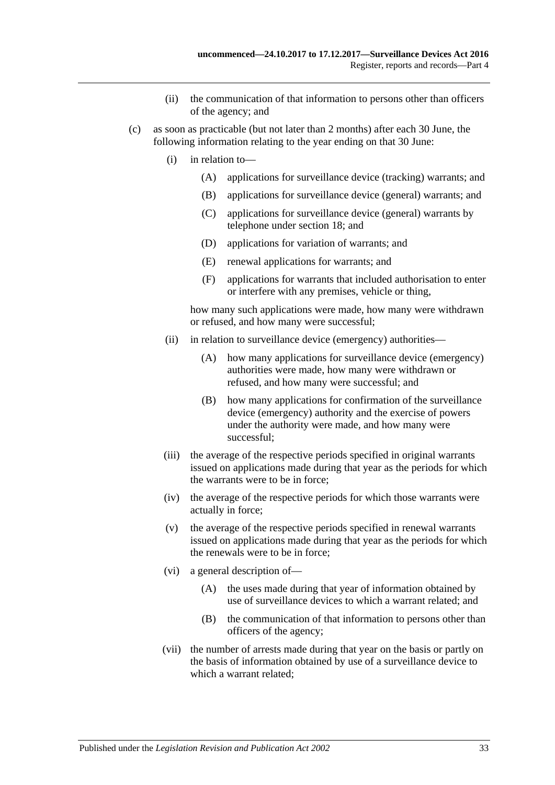- (ii) the communication of that information to persons other than officers of the agency; and
- <span id="page-32-0"></span>(c) as soon as practicable (but not later than 2 months) after each 30 June, the following information relating to the year ending on that 30 June:
	- (i) in relation to—
		- (A) applications for surveillance device (tracking) warrants; and
		- (B) applications for surveillance device (general) warrants; and
		- (C) applications for surveillance device (general) warrants by telephone under [section](#page-19-1) 18; and
		- (D) applications for variation of warrants; and
		- (E) renewal applications for warrants; and
		- (F) applications for warrants that included authorisation to enter or interfere with any premises, vehicle or thing,

how many such applications were made, how many were withdrawn or refused, and how many were successful;

- (ii) in relation to surveillance device (emergency) authorities—
	- (A) how many applications for surveillance device (emergency) authorities were made, how many were withdrawn or refused, and how many were successful; and
	- (B) how many applications for confirmation of the surveillance device (emergency) authority and the exercise of powers under the authority were made, and how many were successful;
- (iii) the average of the respective periods specified in original warrants issued on applications made during that year as the periods for which the warrants were to be in force;
- (iv) the average of the respective periods for which those warrants were actually in force;
- (v) the average of the respective periods specified in renewal warrants issued on applications made during that year as the periods for which the renewals were to be in force;
- (vi) a general description of—
	- (A) the uses made during that year of information obtained by use of surveillance devices to which a warrant related; and
	- (B) the communication of that information to persons other than officers of the agency;
- (vii) the number of arrests made during that year on the basis or partly on the basis of information obtained by use of a surveillance device to which a warrant related;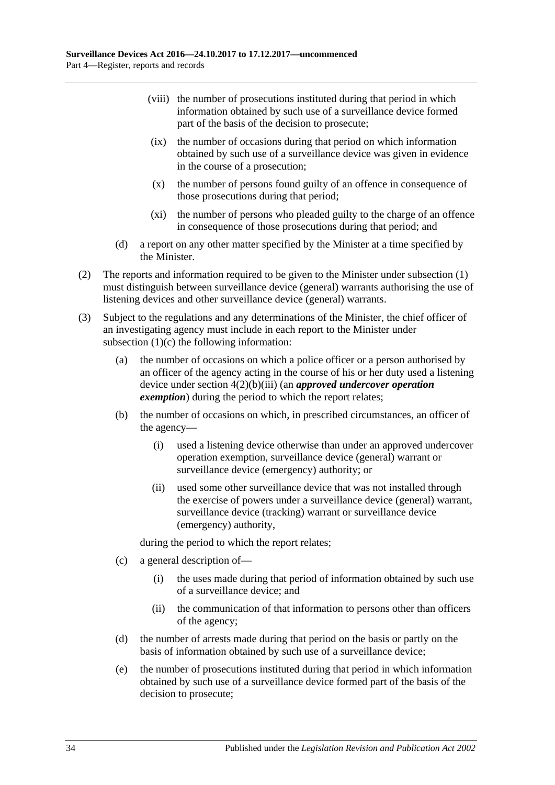- (viii) the number of prosecutions instituted during that period in which information obtained by such use of a surveillance device formed part of the basis of the decision to prosecute;
- (ix) the number of occasions during that period on which information obtained by such use of a surveillance device was given in evidence in the course of a prosecution;
- (x) the number of persons found guilty of an offence in consequence of those prosecutions during that period;
- (xi) the number of persons who pleaded guilty to the charge of an offence in consequence of those prosecutions during that period; and
- (d) a report on any other matter specified by the Minister at a time specified by the Minister.
- (2) The reports and information required to be given to the Minister under [subsection](#page-31-1) (1) must distinguish between surveillance device (general) warrants authorising the use of listening devices and other surveillance device (general) warrants.
- (3) Subject to the regulations and any determinations of the Minister, the chief officer of an investigating agency must include in each report to the Minister under [subsection](#page-32-0) (1)(c) the following information:
	- (a) the number of occasions on which a police officer or a person authorised by an officer of the agency acting in the course of his or her duty used a listening device under section [4\(2\)\(b\)\(iii\)](#page-9-2) (an *approved undercover operation exemption*) during the period to which the report relates;
	- (b) the number of occasions on which, in prescribed circumstances, an officer of the agency—
		- (i) used a listening device otherwise than under an approved undercover operation exemption, surveillance device (general) warrant or surveillance device (emergency) authority; or
		- (ii) used some other surveillance device that was not installed through the exercise of powers under a surveillance device (general) warrant, surveillance device (tracking) warrant or surveillance device (emergency) authority,

during the period to which the report relates;

- (c) a general description of—
	- (i) the uses made during that period of information obtained by such use of a surveillance device; and
	- (ii) the communication of that information to persons other than officers of the agency;
- (d) the number of arrests made during that period on the basis or partly on the basis of information obtained by such use of a surveillance device;
- (e) the number of prosecutions instituted during that period in which information obtained by such use of a surveillance device formed part of the basis of the decision to prosecute;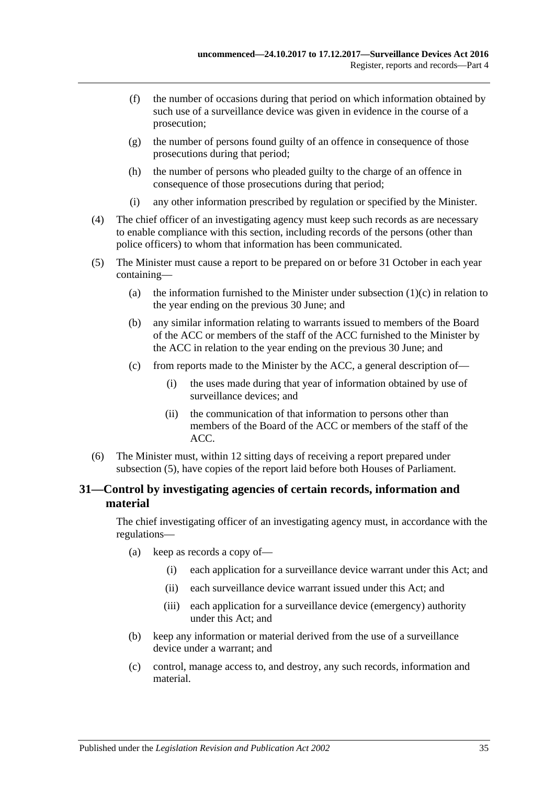- (f) the number of occasions during that period on which information obtained by such use of a surveillance device was given in evidence in the course of a prosecution;
- (g) the number of persons found guilty of an offence in consequence of those prosecutions during that period;
- (h) the number of persons who pleaded guilty to the charge of an offence in consequence of those prosecutions during that period;
- (i) any other information prescribed by regulation or specified by the Minister.
- (4) The chief officer of an investigating agency must keep such records as are necessary to enable compliance with this section, including records of the persons (other than police officers) to whom that information has been communicated.
- <span id="page-34-1"></span>(5) The Minister must cause a report to be prepared on or before 31 October in each year containing
	- (a) the information furnished to the Minister under [subsection](#page-32-0)  $(1)(c)$  in relation to the year ending on the previous 30 June; and
	- (b) any similar information relating to warrants issued to members of the Board of the ACC or members of the staff of the ACC furnished to the Minister by the ACC in relation to the year ending on the previous 30 June; and
	- (c) from reports made to the Minister by the ACC, a general description of—
		- (i) the uses made during that year of information obtained by use of surveillance devices; and
		- (ii) the communication of that information to persons other than members of the Board of the ACC or members of the staff of the ACC.
- (6) The Minister must, within 12 sitting days of receiving a report prepared under [subsection](#page-34-1) (5), have copies of the report laid before both Houses of Parliament.

### <span id="page-34-0"></span>**31—Control by investigating agencies of certain records, information and material**

The chief investigating officer of an investigating agency must, in accordance with the regulations—

- (a) keep as records a copy of—
	- (i) each application for a surveillance device warrant under this Act; and
	- (ii) each surveillance device warrant issued under this Act; and
	- (iii) each application for a surveillance device (emergency) authority under this Act; and
- (b) keep any information or material derived from the use of a surveillance device under a warrant; and
- (c) control, manage access to, and destroy, any such records, information and material.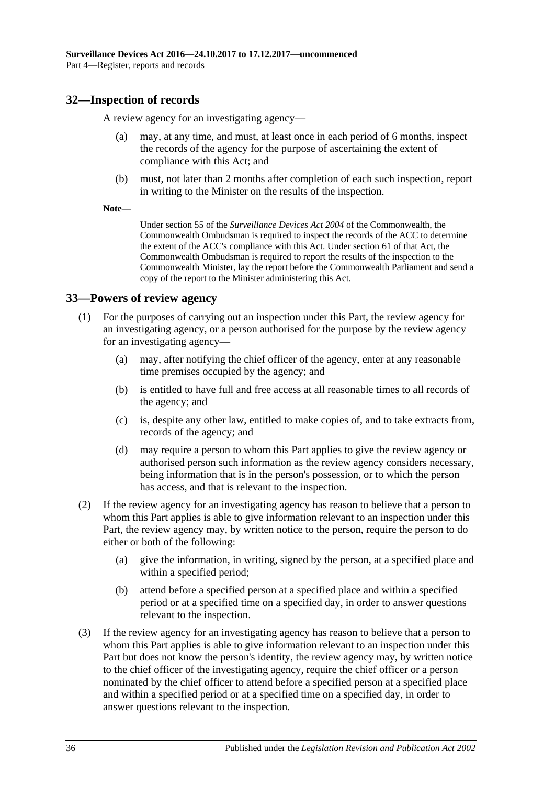### <span id="page-35-0"></span>**32—Inspection of records**

A review agency for an investigating agency—

- may, at any time, and must, at least once in each period of 6 months, inspect the records of the agency for the purpose of ascertaining the extent of compliance with this Act; and
- (b) must, not later than 2 months after completion of each such inspection, report in writing to the Minister on the results of the inspection.
- **Note—**

Under section 55 of the *Surveillance Devices Act 2004* of the Commonwealth, the Commonwealth Ombudsman is required to inspect the records of the ACC to determine the extent of the ACC's compliance with this Act. Under section 61 of that Act, the Commonwealth Ombudsman is required to report the results of the inspection to the Commonwealth Minister, lay the report before the Commonwealth Parliament and send a copy of the report to the Minister administering this Act.

### <span id="page-35-1"></span>**33—Powers of review agency**

- (1) For the purposes of carrying out an inspection under this Part, the review agency for an investigating agency, or a person authorised for the purpose by the review agency for an investigating agency—
	- (a) may, after notifying the chief officer of the agency, enter at any reasonable time premises occupied by the agency; and
	- (b) is entitled to have full and free access at all reasonable times to all records of the agency; and
	- (c) is, despite any other law, entitled to make copies of, and to take extracts from, records of the agency; and
	- (d) may require a person to whom this Part applies to give the review agency or authorised person such information as the review agency considers necessary, being information that is in the person's possession, or to which the person has access, and that is relevant to the inspection.
- (2) If the review agency for an investigating agency has reason to believe that a person to whom this Part applies is able to give information relevant to an inspection under this Part, the review agency may, by written notice to the person, require the person to do either or both of the following:
	- (a) give the information, in writing, signed by the person, at a specified place and within a specified period;
	- (b) attend before a specified person at a specified place and within a specified period or at a specified time on a specified day, in order to answer questions relevant to the inspection.
- (3) If the review agency for an investigating agency has reason to believe that a person to whom this Part applies is able to give information relevant to an inspection under this Part but does not know the person's identity, the review agency may, by written notice to the chief officer of the investigating agency, require the chief officer or a person nominated by the chief officer to attend before a specified person at a specified place and within a specified period or at a specified time on a specified day, in order to answer questions relevant to the inspection.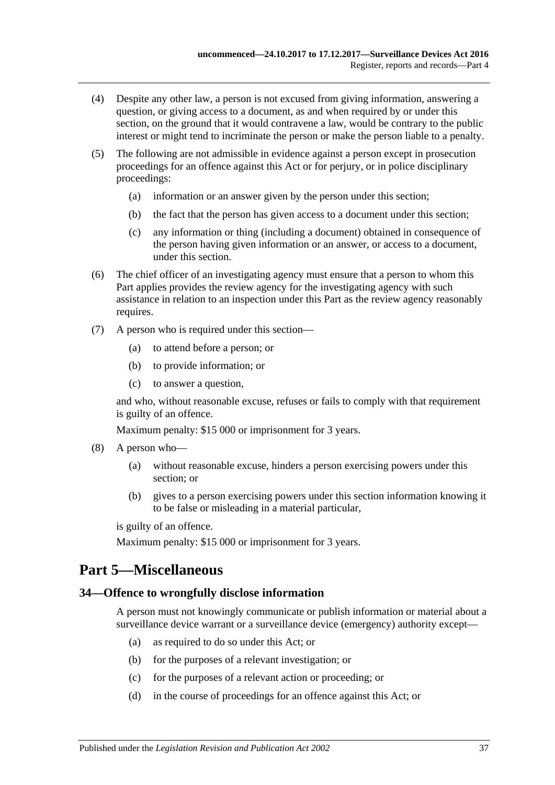- (4) Despite any other law, a person is not excused from giving information, answering a question, or giving access to a document, as and when required by or under this section, on the ground that it would contravene a law, would be contrary to the public interest or might tend to incriminate the person or make the person liable to a penalty.
- (5) The following are not admissible in evidence against a person except in prosecution proceedings for an offence against this Act or for perjury, or in police disciplinary proceedings:
	- (a) information or an answer given by the person under this section;
	- (b) the fact that the person has given access to a document under this section;
	- (c) any information or thing (including a document) obtained in consequence of the person having given information or an answer, or access to a document, under this section.
- (6) The chief officer of an investigating agency must ensure that a person to whom this Part applies provides the review agency for the investigating agency with such assistance in relation to an inspection under this Part as the review agency reasonably requires.
- (7) A person who is required under this section—
	- (a) to attend before a person; or
	- (b) to provide information; or
	- (c) to answer a question,

and who, without reasonable excuse, refuses or fails to comply with that requirement is guilty of an offence.

Maximum penalty: \$15 000 or imprisonment for 3 years.

- (8) A person who—
	- (a) without reasonable excuse, hinders a person exercising powers under this section; or
	- (b) gives to a person exercising powers under this section information knowing it to be false or misleading in a material particular,

is guilty of an offence.

Maximum penalty: \$15 000 or imprisonment for 3 years.

## <span id="page-36-0"></span>**Part 5—Miscellaneous**

#### <span id="page-36-1"></span>**34—Offence to wrongfully disclose information**

A person must not knowingly communicate or publish information or material about a surveillance device warrant or a surveillance device (emergency) authority except—

- (a) as required to do so under this Act; or
- (b) for the purposes of a relevant investigation; or
- (c) for the purposes of a relevant action or proceeding; or
- (d) in the course of proceedings for an offence against this Act; or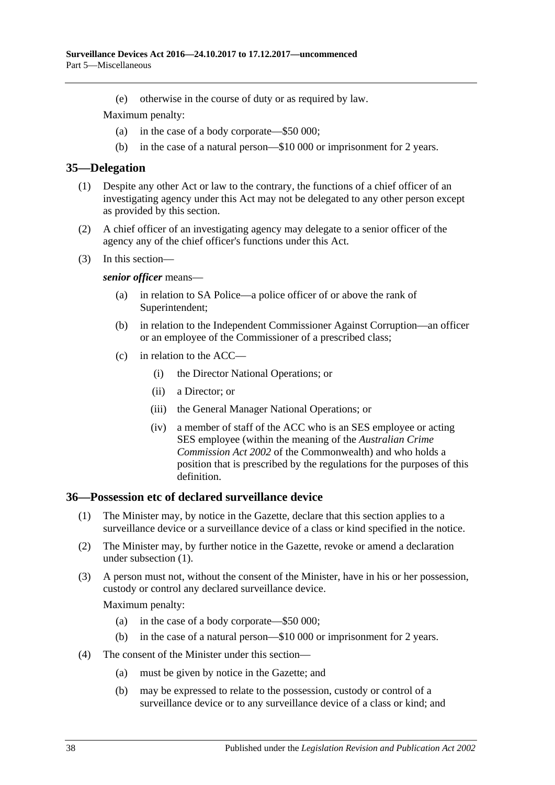(e) otherwise in the course of duty or as required by law.

Maximum penalty:

- (a) in the case of a body corporate—\$50 000;
- (b) in the case of a natural person—\$10 000 or imprisonment for 2 years.

#### <span id="page-37-0"></span>**35—Delegation**

- (1) Despite any other Act or law to the contrary, the functions of a chief officer of an investigating agency under this Act may not be delegated to any other person except as provided by this section.
- (2) A chief officer of an investigating agency may delegate to a senior officer of the agency any of the chief officer's functions under this Act.
- (3) In this section—

#### *senior officer* means—

- (a) in relation to SA Police—a police officer of or above the rank of Superintendent;
- (b) in relation to the Independent Commissioner Against Corruption—an officer or an employee of the Commissioner of a prescribed class;
- (c) in relation to the ACC—
	- (i) the Director National Operations; or
	- (ii) a Director; or
	- (iii) the General Manager National Operations; or
	- (iv) a member of staff of the ACC who is an SES employee or acting SES employee (within the meaning of the *Australian Crime Commission Act 2002* of the Commonwealth) and who holds a position that is prescribed by the regulations for the purposes of this definition.

#### <span id="page-37-2"></span><span id="page-37-1"></span>**36—Possession etc of declared surveillance device**

- (1) The Minister may, by notice in the Gazette, declare that this section applies to a surveillance device or a surveillance device of a class or kind specified in the notice.
- (2) The Minister may, by further notice in the Gazette, revoke or amend a declaration under [subsection](#page-37-2) (1).
- (3) A person must not, without the consent of the Minister, have in his or her possession, custody or control any declared surveillance device.

- (a) in the case of a body corporate—\$50 000;
- (b) in the case of a natural person—\$10 000 or imprisonment for 2 years.
- (4) The consent of the Minister under this section—
	- (a) must be given by notice in the Gazette; and
	- (b) may be expressed to relate to the possession, custody or control of a surveillance device or to any surveillance device of a class or kind; and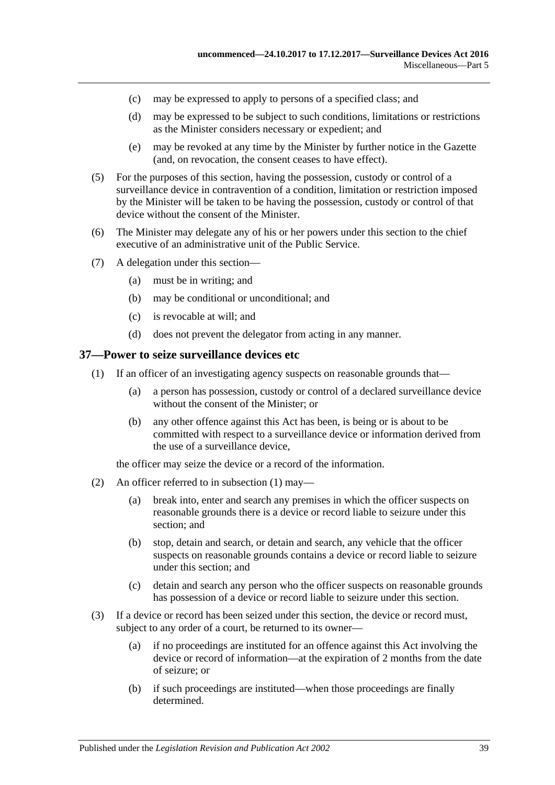- (c) may be expressed to apply to persons of a specified class; and
- (d) may be expressed to be subject to such conditions, limitations or restrictions as the Minister considers necessary or expedient; and
- (e) may be revoked at any time by the Minister by further notice in the Gazette (and, on revocation, the consent ceases to have effect).
- (5) For the purposes of this section, having the possession, custody or control of a surveillance device in contravention of a condition, limitation or restriction imposed by the Minister will be taken to be having the possession, custody or control of that device without the consent of the Minister.
- (6) The Minister may delegate any of his or her powers under this section to the chief executive of an administrative unit of the Public Service.
- (7) A delegation under this section—
	- (a) must be in writing; and
	- (b) may be conditional or unconditional; and
	- (c) is revocable at will; and
	- (d) does not prevent the delegator from acting in any manner.

#### <span id="page-38-1"></span><span id="page-38-0"></span>**37—Power to seize surveillance devices etc**

- (1) If an officer of an investigating agency suspects on reasonable grounds that—
	- (a) a person has possession, custody or control of a declared surveillance device without the consent of the Minister; or
	- (b) any other offence against this Act has been, is being or is about to be committed with respect to a surveillance device or information derived from the use of a surveillance device,

the officer may seize the device or a record of the information.

- (2) An officer referred to in [subsection](#page-38-1) (1) may—
	- (a) break into, enter and search any premises in which the officer suspects on reasonable grounds there is a device or record liable to seizure under this section; and
	- (b) stop, detain and search, or detain and search, any vehicle that the officer suspects on reasonable grounds contains a device or record liable to seizure under this section; and
	- (c) detain and search any person who the officer suspects on reasonable grounds has possession of a device or record liable to seizure under this section.
- (3) If a device or record has been seized under this section, the device or record must, subject to any order of a court, be returned to its owner—
	- (a) if no proceedings are instituted for an offence against this Act involving the device or record of information—at the expiration of 2 months from the date of seizure; or
	- (b) if such proceedings are instituted—when those proceedings are finally determined.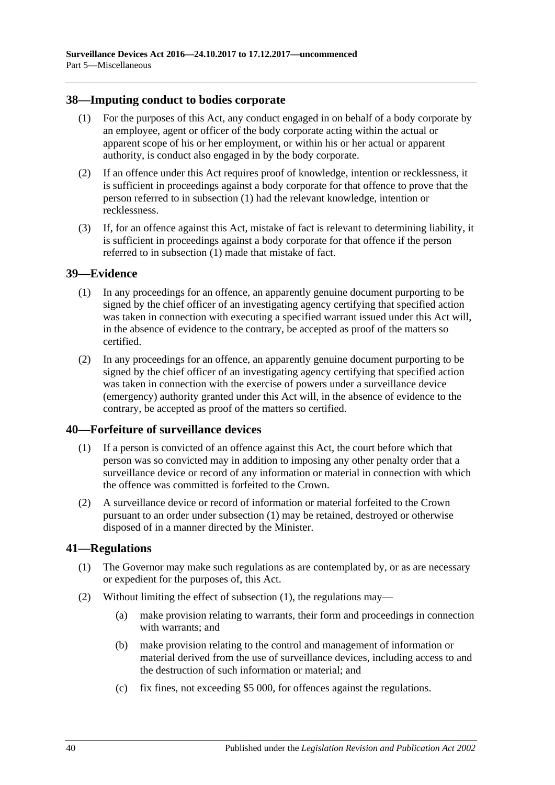### <span id="page-39-4"></span><span id="page-39-0"></span>**38—Imputing conduct to bodies corporate**

- (1) For the purposes of this Act, any conduct engaged in on behalf of a body corporate by an employee, agent or officer of the body corporate acting within the actual or apparent scope of his or her employment, or within his or her actual or apparent authority, is conduct also engaged in by the body corporate.
- (2) If an offence under this Act requires proof of knowledge, intention or recklessness, it is sufficient in proceedings against a body corporate for that offence to prove that the person referred to in [subsection](#page-39-4) (1) had the relevant knowledge, intention or recklessness.
- (3) If, for an offence against this Act, mistake of fact is relevant to determining liability, it is sufficient in proceedings against a body corporate for that offence if the person referred to in [subsection](#page-39-4) (1) made that mistake of fact.

### <span id="page-39-1"></span>**39—Evidence**

- (1) In any proceedings for an offence, an apparently genuine document purporting to be signed by the chief officer of an investigating agency certifying that specified action was taken in connection with executing a specified warrant issued under this Act will, in the absence of evidence to the contrary, be accepted as proof of the matters so certified.
- (2) In any proceedings for an offence, an apparently genuine document purporting to be signed by the chief officer of an investigating agency certifying that specified action was taken in connection with the exercise of powers under a surveillance device (emergency) authority granted under this Act will, in the absence of evidence to the contrary, be accepted as proof of the matters so certified.

#### <span id="page-39-5"></span><span id="page-39-2"></span>**40—Forfeiture of surveillance devices**

- (1) If a person is convicted of an offence against this Act, the court before which that person was so convicted may in addition to imposing any other penalty order that a surveillance device or record of any information or material in connection with which the offence was committed is forfeited to the Crown.
- (2) A surveillance device or record of information or material forfeited to the Crown pursuant to an order under [subsection](#page-39-5) (1) may be retained, destroyed or otherwise disposed of in a manner directed by the Minister.

### <span id="page-39-6"></span><span id="page-39-3"></span>**41—Regulations**

- (1) The Governor may make such regulations as are contemplated by, or as are necessary or expedient for the purposes of, this Act.
- (2) Without limiting the effect of [subsection](#page-39-6) (1), the regulations may—
	- (a) make provision relating to warrants, their form and proceedings in connection with warrants; and
	- (b) make provision relating to the control and management of information or material derived from the use of surveillance devices, including access to and the destruction of such information or material; and
	- (c) fix fines, not exceeding \$5 000, for offences against the regulations.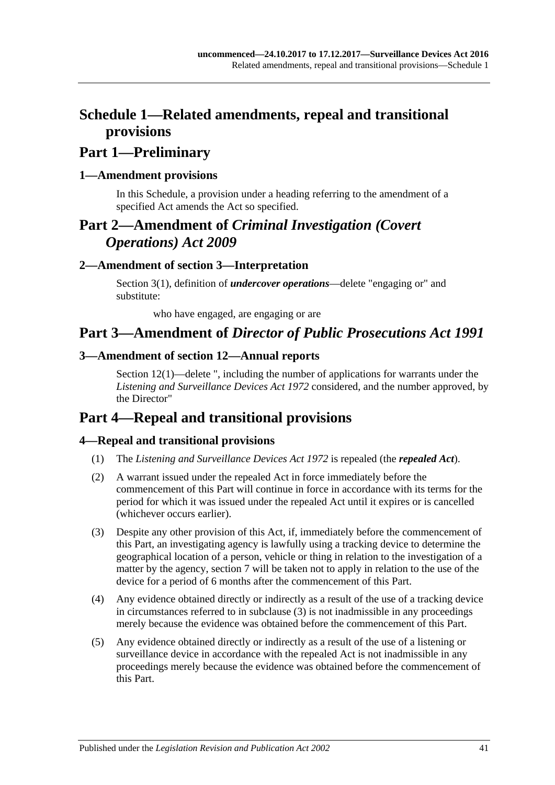## <span id="page-40-0"></span>**Schedule 1—Related amendments, repeal and transitional provisions**

## **Part 1—Preliminary**

### <span id="page-40-1"></span>**1—Amendment provisions**

In this Schedule, a provision under a heading referring to the amendment of a specified Act amends the Act so specified.

## **Part 2—Amendment of** *Criminal Investigation (Covert Operations) Act 2009*

### <span id="page-40-2"></span>**2—Amendment of section 3—Interpretation**

Section 3(1), definition of *undercover operations*—delete "engaging or" and substitute:

who have engaged, are engaging or are

## **Part 3—Amendment of** *Director of Public Prosecutions Act 1991*

### <span id="page-40-3"></span>**3—Amendment of section 12—Annual reports**

Section 12(1)—delete ", including the number of applications for warrants under the *[Listening and Surveillance Devices Act](http://www.legislation.sa.gov.au/index.aspx?action=legref&type=act&legtitle=Listening%20and%20Surveillance%20Devices%20Act%201972) 1972* considered, and the number approved, by the Director"

## **Part 4—Repeal and transitional provisions**

### <span id="page-40-4"></span>**4—Repeal and transitional provisions**

- (1) The *[Listening and Surveillance Devices Act](http://www.legislation.sa.gov.au/index.aspx?action=legref&type=act&legtitle=Listening%20and%20Surveillance%20Devices%20Act%201972) 1972* is repealed (the *repealed Act*).
- (2) A warrant issued under the repealed Act in force immediately before the commencement of this Part will continue in force in accordance with its terms for the period for which it was issued under the repealed Act until it expires or is cancelled (whichever occurs earlier).
- <span id="page-40-5"></span>(3) Despite any other provision of this Act, if, immediately before the commencement of this Part, an investigating agency is lawfully using a tracking device to determine the geographical location of a person, vehicle or thing in relation to the investigation of a matter by the agency, [section](#page-12-1) 7 will be taken not to apply in relation to the use of the device for a period of 6 months after the commencement of this Part.
- (4) Any evidence obtained directly or indirectly as a result of the use of a tracking device in circumstances referred to in [subclause](#page-40-5) (3) is not inadmissible in any proceedings merely because the evidence was obtained before the commencement of this Part.
- (5) Any evidence obtained directly or indirectly as a result of the use of a listening or surveillance device in accordance with the repealed Act is not inadmissible in any proceedings merely because the evidence was obtained before the commencement of this Part.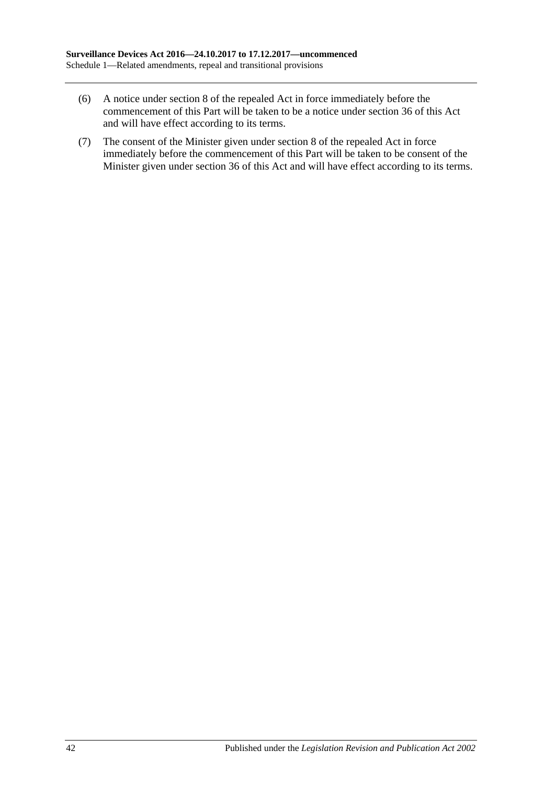- (6) A notice under section 8 of the repealed Act in force immediately before the commencement of this Part will be taken to be a notice under [section](#page-37-1) 36 of this Act and will have effect according to its terms.
- (7) The consent of the Minister given under section 8 of the repealed Act in force immediately before the commencement of this Part will be taken to be consent of the Minister given under [section](#page-37-1) 36 of this Act and will have effect according to its terms.